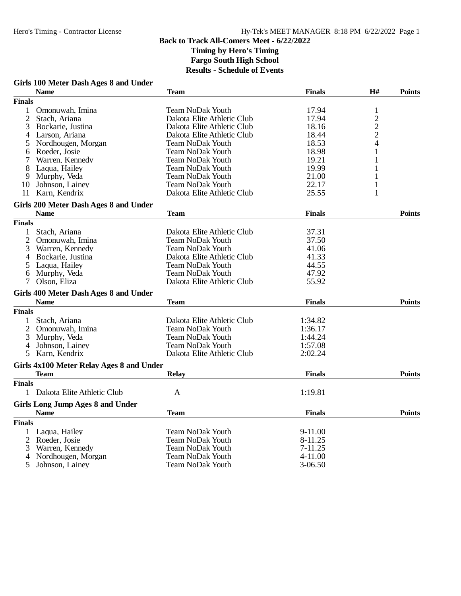## **Girls 100 Meter Dash Ages 8 and Under**

|               | <b>Name</b>                              | <b>Team</b>                | <b>Finals</b> | H#            | <b>Points</b> |
|---------------|------------------------------------------|----------------------------|---------------|---------------|---------------|
| <b>Finals</b> |                                          |                            |               |               |               |
| 1             | Omonuwah, Imina                          | <b>Team NoDak Youth</b>    | 17.94         | $\mathbf{1}$  |               |
| $\mathbf{2}$  | Stach, Ariana                            | Dakota Elite Athletic Club | 17.94         |               |               |
| 3             | Bockarie, Justina                        | Dakota Elite Athletic Club | 18.16         | $\frac{2}{2}$ |               |
| 4             | Larson, Ariana                           | Dakota Elite Athletic Club | 18.44         |               |               |
| 5             | Nordhougen, Morgan                       | <b>Team NoDak Youth</b>    | 18.53         | 4             |               |
| 6             | Roeder, Josie                            | <b>Team NoDak Youth</b>    | 18.98         | 1             |               |
| 7             | Warren, Kennedy                          | <b>Team NoDak Youth</b>    | 19.21         | 1             |               |
| 8             | Laqua, Hailey                            | <b>Team NoDak Youth</b>    | 19.99         | 1             |               |
| 9             | Murphy, Veda                             | <b>Team NoDak Youth</b>    | 21.00         | 1             |               |
| 10            | Johnson, Lainey                          | <b>Team NoDak Youth</b>    | 22.17         | $\mathbf{1}$  |               |
| 11            | Karn, Kendrix                            | Dakota Elite Athletic Club | 25.55         | 1             |               |
|               | Girls 200 Meter Dash Ages 8 and Under    |                            |               |               |               |
|               | <b>Name</b>                              | <b>Team</b>                | <b>Finals</b> |               | <b>Points</b> |
| <b>Finals</b> |                                          |                            |               |               |               |
| 1             | Stach, Ariana                            | Dakota Elite Athletic Club | 37.31         |               |               |
| 2             | Omonuwah, Imina                          | <b>Team NoDak Youth</b>    | 37.50         |               |               |
| 3             | Warren, Kennedy                          | <b>Team NoDak Youth</b>    | 41.06         |               |               |
| 4             | Bockarie, Justina                        | Dakota Elite Athletic Club | 41.33         |               |               |
| 5             | Laqua, Hailey                            | Team NoDak Youth           | 44.55         |               |               |
| 6             | Murphy, Veda                             | <b>Team NoDak Youth</b>    | 47.92         |               |               |
| 7             | Olson, Eliza                             | Dakota Elite Athletic Club | 55.92         |               |               |
|               | Girls 400 Meter Dash Ages 8 and Under    |                            |               |               |               |
|               | <b>Name</b>                              | <b>Team</b>                | <b>Finals</b> |               | <b>Points</b> |
| <b>Finals</b> |                                          |                            |               |               |               |
| 1             | Stach, Ariana                            | Dakota Elite Athletic Club | 1:34.82       |               |               |
| 2             | Omonuwah, Imina                          | <b>Team NoDak Youth</b>    | 1:36.17       |               |               |
| 3             | Murphy, Veda                             | <b>Team NoDak Youth</b>    | 1:44.24       |               |               |
| 4             | Johnson, Lainey                          | <b>Team NoDak Youth</b>    | 1:57.08       |               |               |
| 5             | Karn, Kendrix                            | Dakota Elite Athletic Club | 2:02.24       |               |               |
|               | Girls 4x100 Meter Relay Ages 8 and Under |                            |               |               |               |
|               | Team                                     | <b>Relay</b>               | <b>Finals</b> |               | <b>Points</b> |
| <b>Finals</b> |                                          |                            |               |               |               |
|               | 1 Dakota Elite Athletic Club             | $\mathbf{A}$               | 1:19.81       |               |               |
|               | <b>Girls Long Jump Ages 8 and Under</b>  |                            |               |               |               |
|               | <b>Name</b>                              | <b>Team</b>                | <b>Finals</b> |               | <b>Points</b> |
| <b>Finals</b> |                                          |                            |               |               |               |
| 1             | Laqua, Hailey                            | <b>Team NoDak Youth</b>    | 9-11.00       |               |               |
| 2             | Roeder, Josie                            | <b>Team NoDak Youth</b>    | 8-11.25       |               |               |
| 3             | Warren, Kennedy                          | Team NoDak Youth           | 7-11.25       |               |               |
| 4             | Nordhougen, Morgan                       | <b>Team NoDak Youth</b>    | 4-11.00       |               |               |
| 5             | Johnson, Lainey                          | <b>Team NoDak Youth</b>    | $3 - 06.50$   |               |               |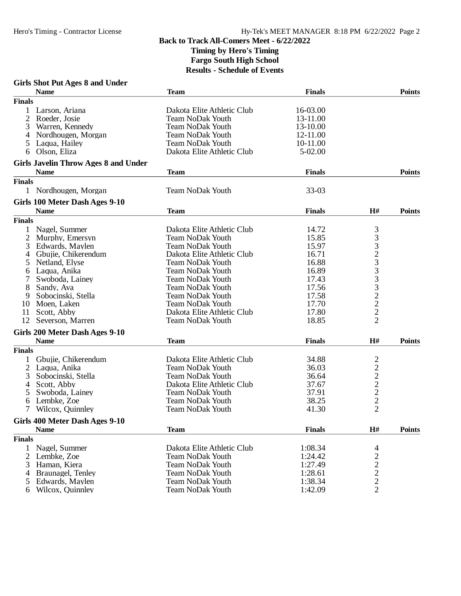#### **Girls Shot Put Ages 8 and Under**

|               | <b>Name</b>                                   | <b>Team</b>                | <b>Finals</b> |                                                         | <b>Points</b> |
|---------------|-----------------------------------------------|----------------------------|---------------|---------------------------------------------------------|---------------|
| <b>Finals</b> |                                               |                            |               |                                                         |               |
|               | Larson, Ariana                                | Dakota Elite Athletic Club | 16-03.00      |                                                         |               |
| 2             | Roeder, Josie                                 | Team NoDak Youth           | 13-11.00      |                                                         |               |
| 3             | Warren, Kennedy                               | <b>Team NoDak Youth</b>    | 13-10.00      |                                                         |               |
| 4             | Nordhougen, Morgan                            | <b>Team NoDak Youth</b>    | 12-11.00      |                                                         |               |
| 5             | Laqua, Hailey                                 | <b>Team NoDak Youth</b>    | 10-11.00      |                                                         |               |
| 6             | Olson, Eliza                                  | Dakota Elite Athletic Club | 5-02.00       |                                                         |               |
|               | <b>Girls Javelin Throw Ages 8 and Under</b>   |                            |               |                                                         |               |
|               | <b>Name</b>                                   | <b>Team</b>                | <b>Finals</b> |                                                         | <b>Points</b> |
| <b>Finals</b> |                                               |                            |               |                                                         |               |
|               | 1 Nordhougen, Morgan                          | <b>Team NoDak Youth</b>    | $33-03$       |                                                         |               |
|               |                                               |                            |               |                                                         |               |
|               | Girls 100 Meter Dash Ages 9-10<br><b>Name</b> | <b>Team</b>                | <b>Finals</b> | H#                                                      | <b>Points</b> |
| <b>Finals</b> |                                               |                            |               |                                                         |               |
|               |                                               |                            |               |                                                         |               |
| 1             | Nagel, Summer                                 | Dakota Elite Athletic Club | 14.72         |                                                         |               |
| 2             | Murphy, Emersyn                               | Team NoDak Youth           | 15.85         | 3332333222                                              |               |
| 3             | Edwards, Maylen                               | <b>Team NoDak Youth</b>    | 15.97         |                                                         |               |
|               | Gbujie, Chikerendum                           | Dakota Elite Athletic Club | 16.71         |                                                         |               |
| 5             | Netland, Elyse                                | <b>Team NoDak Youth</b>    | 16.88         |                                                         |               |
| 6             | Laqua, Anika                                  | <b>Team NoDak Youth</b>    | 16.89         |                                                         |               |
| 7             | Swoboda, Lainey                               | <b>Team NoDak Youth</b>    | 17.43         |                                                         |               |
| 8             | Sandy, Ava                                    | <b>Team NoDak Youth</b>    | 17.56         |                                                         |               |
| 9             | Sobocinski, Stella                            | <b>Team NoDak Youth</b>    | 17.58         |                                                         |               |
| 10            | Moen, Laken                                   | <b>Team NoDak Youth</b>    | 17.70         |                                                         |               |
| 11            | Scott, Abby                                   | Dakota Elite Athletic Club | 17.80         |                                                         |               |
| 12            | Severson, Marren                              | <b>Team NoDak Youth</b>    | 18.85         | $\overline{2}$                                          |               |
|               | Girls 200 Meter Dash Ages 9-10                |                            |               |                                                         |               |
|               | <b>Name</b>                                   | <b>Team</b>                | <b>Finals</b> | H#                                                      | <b>Points</b> |
| <b>Finals</b> |                                               |                            |               |                                                         |               |
|               | Gbujie, Chikerendum                           | Dakota Elite Athletic Club | 34.88         |                                                         |               |
| 2             | Laqua, Anika                                  | <b>Team NoDak Youth</b>    | 36.03         |                                                         |               |
| 3             | Sobocinski, Stella                            | <b>Team NoDak Youth</b>    | 36.64         |                                                         |               |
|               |                                               | Dakota Elite Athletic Club | 37.67         |                                                         |               |
| 4             | Scott, Abby                                   |                            |               |                                                         |               |
| 5             | Swoboda, Lainey                               | <b>Team NoDak Youth</b>    | 37.91         |                                                         |               |
| 6             | Lembke, Zoe                                   | <b>Team NoDak Youth</b>    | 38.25         | $\frac{2}{2}$ $\frac{2}{2}$ $\frac{2}{2}$ $\frac{2}{2}$ |               |
| 7             | Wilcox, Quinnley                              | <b>Team NoDak Youth</b>    | 41.30         |                                                         |               |
|               | Girls 400 Meter Dash Ages 9-10                |                            |               |                                                         |               |
|               | <b>Name</b>                                   | <b>Team</b>                | <b>Finals</b> | H#                                                      | <b>Points</b> |
| <b>Finals</b> |                                               |                            |               |                                                         |               |
| 1             | Nagel, Summer                                 | Dakota Elite Athletic Club | 1:08.34       | 4                                                       |               |
| 2             | Lembke, Zoe                                   | <b>Team NoDak Youth</b>    | 1:24.42       | $\overline{c}$                                          |               |
| 3             | Haman, Kiera                                  | <b>Team NoDak Youth</b>    | 1:27.49       |                                                         |               |
| 4             | Braunagel, Tenley                             | <b>Team NoDak Youth</b>    | 1:28.61       |                                                         |               |
| 5             | Edwards, Maylen                               | <b>Team NoDak Youth</b>    | 1:38.34       | $\begin{array}{c} 2 \\ 2 \\ 2 \end{array}$              |               |
| 6             | Wilcox, Quinnley                              | <b>Team NoDak Youth</b>    | 1:42.09       |                                                         |               |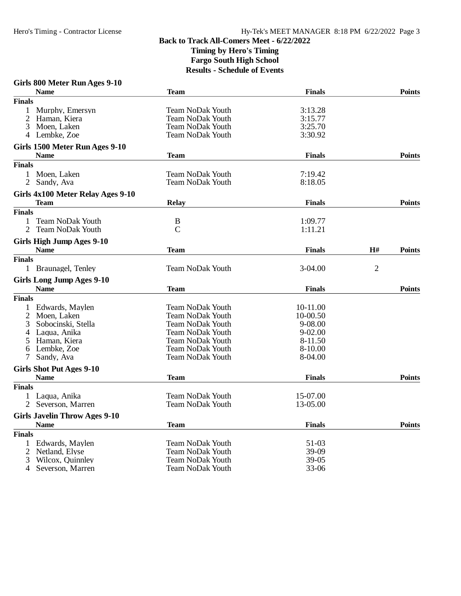#### **Girls 800 Meter Run Ages 9-10 Name Team Finals Points Finals** 1 Murphy, Emersyn Team NoDak Youth 3:13.28<br>
2 Haman, Kiera Team NoDak Youth 3:15.77 2 Haman, Kiera Team NoDak Youth 3:15.77 3 Moen, Laken Team NoDak Youth 3:25.70 Team NoDak Youth 3:25.70 Team NoDak Youth 3:25.70 Team NoDak Youth 3:25 Team NoDak Youth 3:30.92 **Girls 1500 Meter Run Ages 9-10 Name Team Finals Points Finals** 1 Moen, Laken Team NoDak Youth 7:19.42<br>
2 Sandy, Ava Team NoDak Youth 8:18.05 Team NoDak Youth **Girls 4x100 Meter Relay Ages 9-10 Team Relay Finals Points Finals** 1 Team NoDak Youth B 1:09.77<br>
2 Team NoDak Youth C 1:11.21 2 Team NoDak Youth C 1:11.21 **Girls High Jump Ages 9-10 Name Team Finals H# Points Finals** 1 Braunagel, Tenley Team NoDak Youth 3-04.00 2 **Girls Long Jump Ages 9-10 Name Team Finals Points Finals** 1 Edwards, Maylen Team NoDak Youth 10-11.00<br>
2 Moen, Laken Team NoDak Youth 10-00.50 2 Team NoDak Youth 10-00.50<br>
2-08.00 Team NoDak Youth 10-08.00 3 Sobocinski, Stella Team NoDak Youth 9-08.00 4 Laqua, Anika Team NoDak Youth 9-02.00 5 Haman, Kiera Team NoDak Youth 8-11.50 6 Lembke, Zoe Team NoDak Youth 8-10.000 Team NoDak Youth 8-10.000 Team NoDak Youth 8-10.000 Team NoDak Youth 8-10.000 Team NoDak Youth 8-10.000 Team NoDak Youth 8-10.000 Team NoDak Youth 8-10.000 Team NoDak Youth 8-10.000 Team NoDak Youth 8-04.00 **Girls Shot Put Ages 9-10 Name Team Finals Points Finals** 1 Laqua, Anika 15-07.00<br>
15-07.00 15-07.00 15-07.00 16-17 15-07.00 16-17 15-07.00 16-18 15-05.00 16-18 16-05.00 2 Severson, Marren Team NoDak Youth 13-05.00 **Girls Javelin Throw Ages 9-10 Name Team Finals Points Finals** 1 Edwards, Maylen Team NoDak Youth 51-03<br>2 Netland, Elyse Team NoDak Youth 39-09 2 Team NoDak Youth 39-09<br>
2 Team NoDak Youth 39-05 3 Wilcox, Quinnley Team NoDak Youth 39-05<br>
4 Severson, Marren Team NoDak Youth 33-06 4 Severson, Marren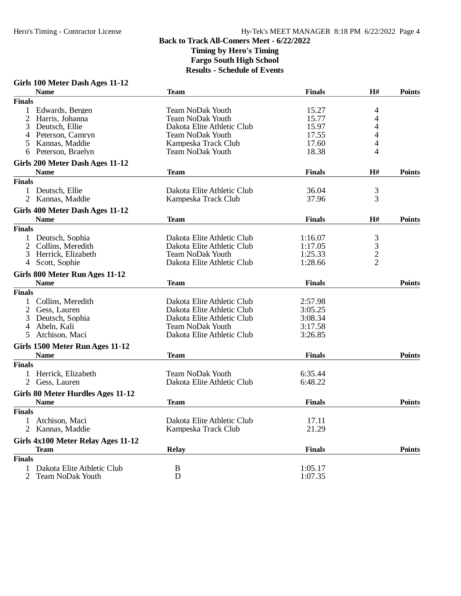### **Girls 100 Meter Dash Ages 11-12**

|                | <b>Name</b>                        | <b>Team</b>                | <b>Finals</b> | H#                                         | <b>Points</b> |
|----------------|------------------------------------|----------------------------|---------------|--------------------------------------------|---------------|
| <b>Finals</b>  |                                    |                            |               |                                            |               |
|                | Edwards, Bergen                    | <b>Team NoDak Youth</b>    | 15.27         | 4                                          |               |
| 2              | Harris, Johanna                    | Team NoDak Youth           | 15.77         | 4                                          |               |
| 3              | Deutsch, Ellie                     | Dakota Elite Athletic Club | 15.97         | 4                                          |               |
| 4              | Peterson, Camryn                   | <b>Team NoDak Youth</b>    | 17.55         | 4                                          |               |
| 5              | Kannas, Maddie                     | Kampeska Track Club        | 17.60         | 4                                          |               |
| 6              | Peterson, Braelyn                  | <b>Team NoDak Youth</b>    | 18.38         | 4                                          |               |
|                | Girls 200 Meter Dash Ages 11-12    |                            |               |                                            |               |
|                | <b>Name</b>                        | <b>Team</b>                | <b>Finals</b> | H#                                         | <b>Points</b> |
| <b>Finals</b>  |                                    |                            |               |                                            |               |
|                | Deutsch, Ellie                     | Dakota Elite Athletic Club | 36.04         | 3                                          |               |
| $\overline{2}$ | Kannas, Maddie                     | Kampeska Track Club        | 37.96         | $\overline{3}$                             |               |
|                | Girls 400 Meter Dash Ages 11-12    |                            |               |                                            |               |
|                | <b>Name</b>                        | <b>Team</b>                | <b>Finals</b> | H#                                         | <b>Points</b> |
| <b>Finals</b>  |                                    |                            |               |                                            |               |
|                | Deutsch, Sophia                    | Dakota Elite Athletic Club | 1:16.07       |                                            |               |
| 2              | Collins, Meredith                  | Dakota Elite Athletic Club | 1:17.05       | $\begin{array}{c} 3 \\ 3 \\ 2 \end{array}$ |               |
| 3              | Herrick, Elizabeth                 | <b>Team NoDak Youth</b>    | 1:25.33       |                                            |               |
| 4              | Scott, Sophie                      | Dakota Elite Athletic Club | 1:28.66       |                                            |               |
|                | Girls 800 Meter Run Ages 11-12     |                            |               |                                            |               |
|                | <b>Name</b>                        | <b>Team</b>                | <b>Finals</b> |                                            | <b>Points</b> |
| <b>Finals</b>  |                                    |                            |               |                                            |               |
|                | Collins, Meredith                  | Dakota Elite Athletic Club | 2:57.98       |                                            |               |
| $\overline{2}$ | Gess, Lauren                       | Dakota Elite Athletic Club | 3:05.25       |                                            |               |
| 3              | Deutsch, Sophia                    | Dakota Elite Athletic Club | 3:08.34       |                                            |               |
| 4              | Abeln, Kali                        | <b>Team NoDak Youth</b>    | 3:17.58       |                                            |               |
| 5              | Atchison, Maci                     | Dakota Elite Athletic Club | 3:26.85       |                                            |               |
|                | Girls 1500 Meter Run Ages 11-12    |                            |               |                                            |               |
|                | <b>Name</b>                        | <b>Team</b>                | <b>Finals</b> |                                            | <b>Points</b> |
| <b>Finals</b>  |                                    |                            |               |                                            |               |
|                | Herrick, Elizabeth                 | <b>Team NoDak Youth</b>    | 6:35.44       |                                            |               |
|                | Gess, Lauren                       | Dakota Elite Athletic Club | 6:48.22       |                                            |               |
|                | Girls 80 Meter Hurdles Ages 11-12  |                            |               |                                            |               |
|                | <b>Name</b>                        | <b>Team</b>                | <b>Finals</b> |                                            | <b>Points</b> |
| <b>Finals</b>  |                                    |                            |               |                                            |               |
|                | Atchison, Maci                     | Dakota Elite Athletic Club | 17.11         |                                            |               |
|                | 2 Kannas, Maddie                   | Kampeska Track Club        | 21.29         |                                            |               |
|                | Girls 4x100 Meter Relay Ages 11-12 |                            |               |                                            |               |
|                | <b>Team</b>                        | <b>Relay</b>               | <b>Finals</b> |                                            | <b>Points</b> |
| <b>Finals</b>  |                                    |                            |               |                                            |               |
| 1              | Dakota Elite Athletic Club         | B                          | 1:05.17       |                                            |               |
| 2              | <b>Team NoDak Youth</b>            | D                          | 1:07.35       |                                            |               |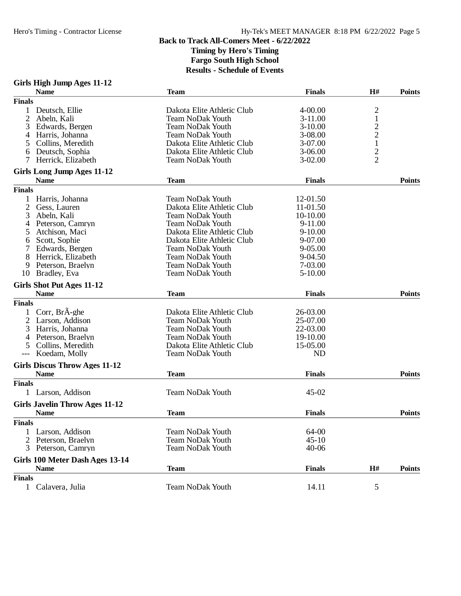## **Girls High Jump Ages 11-12**

|                | <b>Name</b>                                         | <b>Team</b>                | <b>Finals</b> | H#                      | <b>Points</b> |
|----------------|-----------------------------------------------------|----------------------------|---------------|-------------------------|---------------|
| <b>Finals</b>  |                                                     |                            |               |                         |               |
|                | Deutsch, Ellie                                      | Dakota Elite Athletic Club | 4-00.00       | $\overline{c}$          |               |
| 2              | Abeln, Kali                                         | <b>Team NoDak Youth</b>    | $3-11.00$     | $\,1$                   |               |
| 3              | Edwards, Bergen                                     | <b>Team NoDak Youth</b>    | $3-10.00$     | $\overline{\mathbf{c}}$ |               |
| 4              | Harris, Johanna                                     | <b>Team NoDak Youth</b>    | 3-08.00       | $\overline{\mathbf{c}}$ |               |
| 5              | Collins, Meredith                                   | Dakota Elite Athletic Club | 3-07.00       | $\mathbf 1$             |               |
| 6              | Deutsch, Sophia                                     | Dakota Elite Athletic Club | $3-06.00$     |                         |               |
|                | Herrick, Elizabeth                                  | <b>Team NoDak Youth</b>    | $3-02.00$     | $\frac{2}{2}$           |               |
|                | Girls Long Jump Ages 11-12                          |                            |               |                         |               |
|                | <b>Name</b>                                         | <b>Team</b>                | <b>Finals</b> |                         | <b>Points</b> |
| <b>Finals</b>  |                                                     |                            |               |                         |               |
| 1              | Harris, Johanna                                     | <b>Team NoDak Youth</b>    | 12-01.50      |                         |               |
| $\overline{c}$ |                                                     | Dakota Elite Athletic Club | 11-01.50      |                         |               |
| 3              | Gess, Lauren<br>Abeln, Kali                         | <b>Team NoDak Youth</b>    | 10-10.00      |                         |               |
|                |                                                     |                            |               |                         |               |
| 4              | Peterson, Camryn                                    | <b>Team NoDak Youth</b>    | 9-11.00       |                         |               |
| 5              | Atchison, Maci                                      | Dakota Elite Athletic Club | $9 - 10.00$   |                         |               |
| 6              | Scott, Sophie                                       | Dakota Elite Athletic Club | 9-07.00       |                         |               |
|                | Edwards, Bergen                                     | <b>Team NoDak Youth</b>    | 9-05.00       |                         |               |
| 8              | Herrick, Elizabeth                                  | <b>Team NoDak Youth</b>    | 9-04.50       |                         |               |
| 9              | Peterson, Braelyn                                   | <b>Team NoDak Youth</b>    | 7-03.00       |                         |               |
| 10             | Bradley, Eva                                        | <b>Team NoDak Youth</b>    | 5-10.00       |                         |               |
|                | Girls Shot Put Ages 11-12                           |                            |               |                         |               |
|                | <b>Name</b>                                         | <b>Team</b>                | <b>Finals</b> |                         | <b>Points</b> |
| <b>Finals</b>  |                                                     |                            |               |                         |               |
|                | Corr, BrÃ-ghe                                       | Dakota Elite Athletic Club | 26-03.00      |                         |               |
| $\overline{c}$ | Larson, Addison                                     | Team NoDak Youth           | 25-07.00      |                         |               |
| 3              | Harris, Johanna                                     | <b>Team NoDak Youth</b>    | 22-03.00      |                         |               |
| 4              | Peterson, Braelyn                                   | <b>Team NoDak Youth</b>    | 19-10.00      |                         |               |
| 5              | Collins, Meredith                                   | Dakota Elite Athletic Club | 15-05.00      |                         |               |
|                | Koedam, Molly                                       | <b>Team NoDak Youth</b>    | <b>ND</b>     |                         |               |
|                |                                                     |                            |               |                         |               |
|                | <b>Girls Discus Throw Ages 11-12</b><br><b>Name</b> | <b>Team</b>                | <b>Finals</b> |                         | <b>Points</b> |
|                |                                                     |                            |               |                         |               |
| <b>Finals</b>  |                                                     |                            |               |                         |               |
|                | Larson, Addison                                     | <b>Team NoDak Youth</b>    | 45-02         |                         |               |
|                | <b>Girls Javelin Throw Ages 11-12</b>               |                            |               |                         |               |
|                | <b>Name</b>                                         | <b>Team</b>                | <b>Finals</b> |                         | <b>Points</b> |
| <b>Finals</b>  |                                                     |                            |               |                         |               |
|                | 1 Larson, Addison                                   | <b>Team NoDak Youth</b>    | 64-00         |                         |               |
|                | Peterson, Braelyn                                   | <b>Team NoDak Youth</b>    | $45 - 10$     |                         |               |
| 3              | Peterson, Camryn                                    | <b>Team NoDak Youth</b>    | $40 - 06$     |                         |               |
|                | Girls 100 Meter Dash Ages 13-14                     |                            |               |                         |               |
|                | <b>Name</b>                                         | <b>Team</b>                | <b>Finals</b> | H#                      | <b>Points</b> |
| <b>Finals</b>  |                                                     |                            |               |                         |               |
|                | Calavera, Julia                                     | <b>Team NoDak Youth</b>    |               | 5                       |               |
| $\mathbf{1}$   |                                                     |                            | 14.11         |                         |               |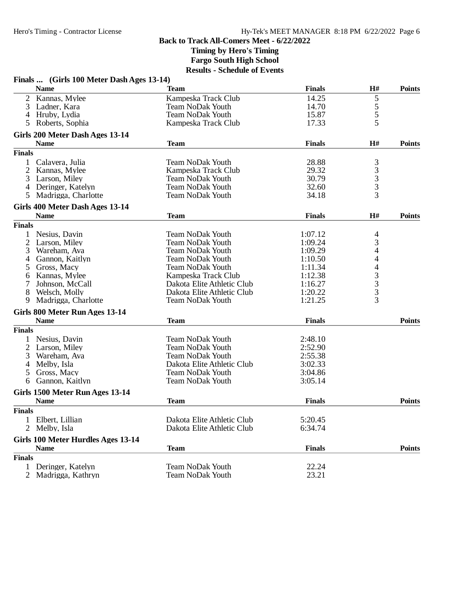**Timing by Hero's Timing**

**Fargo South High School**

|                | Finals  (Girls 100 Meter Dash Ages 13-14)      |                            |               |                                            |               |
|----------------|------------------------------------------------|----------------------------|---------------|--------------------------------------------|---------------|
|                | <b>Name</b>                                    | Team                       | <b>Finals</b> | H#                                         | <b>Points</b> |
| $\overline{2}$ | Kannas, Mylee                                  | Kampeska Track Club        | 14.25         | 5                                          |               |
| 3              | Ladner, Kara                                   | <b>Team NoDak Youth</b>    | 14.70         |                                            |               |
|                | 4 Hruby, Lydia                                 | <b>Team NoDak Youth</b>    | 15.87         | $\frac{5}{5}$                              |               |
| 5              | Roberts, Sophia                                | Kampeska Track Club        | 17.33         | 5                                          |               |
|                | Girls 200 Meter Dash Ages 13-14                |                            |               |                                            |               |
|                | <b>Name</b>                                    | <b>Team</b>                | <b>Finals</b> | H#                                         | <b>Points</b> |
| <b>Finals</b>  |                                                |                            |               |                                            |               |
| $\mathbf{1}$   | Calavera, Julia                                | <b>Team NoDak Youth</b>    | 28.88         | 3                                          |               |
| 2              | Kannas, Mylee                                  | Kampeska Track Club        | 29.32         |                                            |               |
| 3              | Larson, Miley                                  | <b>Team NoDak Youth</b>    | 30.79         | $\frac{3}{3}$                              |               |
|                | 4 Deringer, Katelyn                            | <b>Team NoDak Youth</b>    | 32.60         | 3                                          |               |
| 5.             | Madrigga, Charlotte                            | <b>Team NoDak Youth</b>    | 34.18         | 3                                          |               |
|                | Girls 400 Meter Dash Ages 13-14                |                            |               |                                            |               |
|                | <b>Name</b>                                    | <b>Team</b>                | <b>Finals</b> | H#                                         | <b>Points</b> |
| <b>Finals</b>  |                                                |                            |               |                                            |               |
| 1              | Nesius, Davin                                  | <b>Team NoDak Youth</b>    | 1:07.12       | 4                                          |               |
| 2              | Larson, Miley                                  | <b>Team NoDak Youth</b>    | 1:09.24       | 3                                          |               |
| 3              | Wareham, Ava                                   | <b>Team NoDak Youth</b>    | 1:09.29       | 4                                          |               |
| 4              | Gannon, Kaitlyn                                | <b>Team NoDak Youth</b>    | 1:10.50       | 4                                          |               |
| 5              | Gross, Macy                                    | <b>Team NoDak Youth</b>    | 1:11.34       | $\overline{4}$                             |               |
| 6              | Kannas, Mylee                                  | Kampeska Track Club        | 1:12.38       |                                            |               |
| 7              | Johnson, McCall                                | Dakota Elite Athletic Club | 1:16.27       | $\begin{array}{c} 3 \\ 3 \\ 3 \end{array}$ |               |
| 8              | Welsch, Molly                                  | Dakota Elite Athletic Club | 1:20.22       |                                            |               |
| 9              | Madrigga, Charlotte                            | <b>Team NoDak Youth</b>    | 1:21.25       | $\overline{3}$                             |               |
|                | Girls 800 Meter Run Ages 13-14                 |                            |               |                                            |               |
|                | <b>Name</b>                                    | <b>Team</b>                | <b>Finals</b> |                                            | <b>Points</b> |
| <b>Finals</b>  |                                                |                            |               |                                            |               |
| 1              | Nesius, Davin                                  | <b>Team NoDak Youth</b>    | 2:48.10       |                                            |               |
| $\overline{2}$ | Larson, Miley                                  | <b>Team NoDak Youth</b>    | 2:52.90       |                                            |               |
| 3              | Wareham, Ava                                   | <b>Team NoDak Youth</b>    | 2:55.38       |                                            |               |
| 4              | Melby, Isla                                    | Dakota Elite Athletic Club | 3:02.33       |                                            |               |
| 5              | Gross, Macy                                    | <b>Team NoDak Youth</b>    | 3:04.86       |                                            |               |
| 6              | Gannon, Kaitlyn                                | Team NoDak Youth           | 3:05.14       |                                            |               |
|                |                                                |                            |               |                                            |               |
|                | Girls 1500 Meter Run Ages 13-14<br><b>Name</b> | <b>Team</b>                | <b>Finals</b> |                                            | <b>Points</b> |
| <b>Finals</b>  |                                                |                            |               |                                            |               |
|                | 1 Elbert, Lillian                              | Dakota Elite Athletic Club | 5:20.45       |                                            |               |
|                | 2 Melby, Isla                                  | Dakota Elite Athletic Club | 6:34.74       |                                            |               |
|                | Girls 100 Meter Hurdles Ages 13-14             |                            |               |                                            |               |
|                | <b>Name</b>                                    | <b>Team</b>                | <b>Finals</b> |                                            | <b>Points</b> |
| <b>Finals</b>  |                                                |                            |               |                                            |               |
| $\mathbf{1}$   | Deringer, Katelyn                              | <b>Team NoDak Youth</b>    | 22.24         |                                            |               |
|                | 2 Madrigga, Kathryn                            | <b>Team NoDak Youth</b>    | 23.21         |                                            |               |
|                |                                                |                            |               |                                            |               |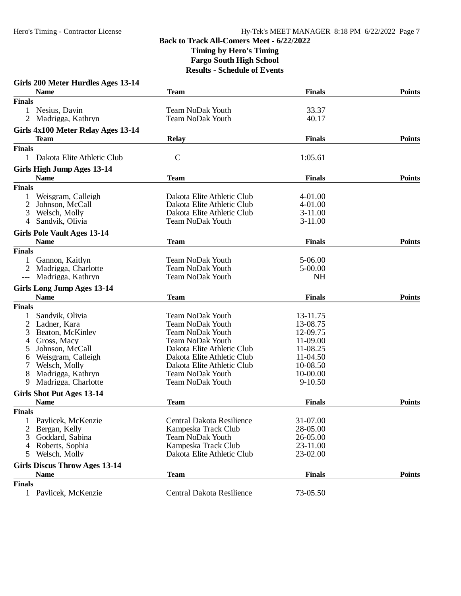| Girls 200 Meter Hurdles Ages 13-14   |                            |               |               |
|--------------------------------------|----------------------------|---------------|---------------|
| <b>Name</b>                          | <b>Team</b>                | <b>Finals</b> | <b>Points</b> |
| <b>Finals</b>                        |                            |               |               |
| 1 Nesius, Davin                      | <b>Team NoDak Youth</b>    | 33.37         |               |
| 2 Madrigga, Kathryn                  | <b>Team NoDak Youth</b>    | 40.17         |               |
| Girls 4x100 Meter Relay Ages 13-14   |                            |               |               |
| <b>Team</b>                          | <b>Relay</b>               | <b>Finals</b> | <b>Points</b> |
| <b>Finals</b>                        |                            |               |               |
| 1 Dakota Elite Athletic Club         | $\mathbf C$                | 1:05.61       |               |
|                                      |                            |               |               |
| Girls High Jump Ages 13-14           | <b>Team</b>                |               | <b>Points</b> |
| <b>Name</b>                          |                            | <b>Finals</b> |               |
| <b>Finals</b>                        |                            |               |               |
| Weisgram, Calleigh                   | Dakota Elite Athletic Club | 4-01.00       |               |
| 2<br>Johnson, McCall                 | Dakota Elite Athletic Club | 4-01.00       |               |
| Welsch, Molly<br>3                   | Dakota Elite Athletic Club | $3-11.00$     |               |
| Sandvik, Olivia<br>4                 | <b>Team NoDak Youth</b>    | $3-11.00$     |               |
| <b>Girls Pole Vault Ages 13-14</b>   |                            |               |               |
| <b>Name</b>                          | <b>Team</b>                | <b>Finals</b> | <b>Points</b> |
| <b>Finals</b>                        |                            |               |               |
| Gannon, Kaitlyn                      | <b>Team NoDak Youth</b>    | 5-06.00       |               |
| Madrigga, Charlotte<br>2             | <b>Team NoDak Youth</b>    | 5-00.00       |               |
| Madrigga, Kathryn<br>$---$           | <b>Team NoDak Youth</b>    | <b>NH</b>     |               |
|                                      |                            |               |               |
| <b>Girls Long Jump Ages 13-14</b>    |                            |               |               |
| <b>Name</b>                          | <b>Team</b>                | <b>Finals</b> | <b>Points</b> |
| <b>Finals</b>                        |                            |               |               |
| Sandvik, Olivia                      | <b>Team NoDak Youth</b>    | 13-11.75      |               |
| 2<br>Ladner, Kara                    | <b>Team NoDak Youth</b>    | 13-08.75      |               |
| Beaton, McKinley<br>3                | <b>Team NoDak Youth</b>    | 12-09.75      |               |
| Gross, Macy<br>4                     | <b>Team NoDak Youth</b>    | 11-09.00      |               |
| Johnson, McCall<br>5                 | Dakota Elite Athletic Club | 11-08.25      |               |
| Weisgram, Calleigh<br>6              | Dakota Elite Athletic Club | 11-04.50      |               |
| Welsch, Molly                        | Dakota Elite Athletic Club | 10-08.50      |               |
| Madrigga, Kathryn<br>8               | <b>Team NoDak Youth</b>    | 10-00.00      |               |
| Madrigga, Charlotte<br>9             | <b>Team NoDak Youth</b>    | $9 - 10.50$   |               |
| Girls Shot Put Ages 13-14            |                            |               |               |
| <b>Name</b>                          | Team                       | <b>Finals</b> | <b>Points</b> |
| <b>Finals</b>                        |                            |               |               |
| Pavlicek, McKenzie<br>$\bf{l}$       | Central Dakota Resilience  | 31-07.00      |               |
| Bergan, Kelly<br>2                   | Kampeska Track Club        | 28-05.00      |               |
| Goddard, Sabina<br>3                 | <b>Team NoDak Youth</b>    | 26-05.00      |               |
| Roberts, Sophia<br>4                 | Kampeska Track Club        | 23-11.00      |               |
| Welsch, Molly<br>5                   | Dakota Elite Athletic Club | 23-02.00      |               |
|                                      |                            |               |               |
| <b>Girls Discus Throw Ages 13-14</b> |                            |               |               |
| <b>Name</b>                          | <b>Team</b>                | <b>Finals</b> | <b>Points</b> |
| <b>Finals</b>                        |                            |               |               |
| 1 Pavlicek, McKenzie                 | Central Dakota Resilience  | 73-05.50      |               |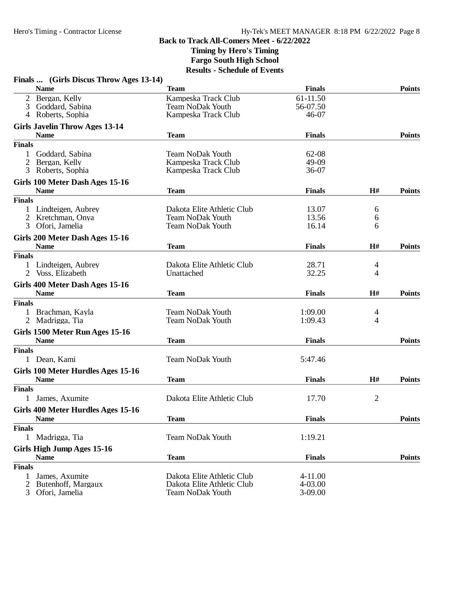| Finals  (Girls Discus Throw Ages 13-14)              |                                                |                   |                |               |
|------------------------------------------------------|------------------------------------------------|-------------------|----------------|---------------|
| <b>Name</b>                                          | <b>Team</b>                                    | <b>Finals</b>     |                | <b>Points</b> |
| Bergan, Kelly<br>$\overline{2}$                      | Kampeska Track Club                            | 61-11.50          |                |               |
| 3<br>Goddard, Sabina<br>4 Roberts, Sophia            | <b>Team NoDak Youth</b><br>Kampeska Track Club | 56-07.50<br>46-07 |                |               |
|                                                      |                                                |                   |                |               |
| <b>Girls Javelin Throw Ages 13-14</b><br><b>Name</b> | <b>Team</b>                                    | <b>Finals</b>     |                | <b>Points</b> |
| <b>Finals</b>                                        |                                                |                   |                |               |
| Goddard, Sabina<br>1                                 | <b>Team NoDak Youth</b>                        | 62-08             |                |               |
| 2<br>Bergan, Kelly                                   | Kampeska Track Club                            | 49-09             |                |               |
| 3 Roberts, Sophia                                    | Kampeska Track Club                            | 36-07             |                |               |
| Girls 100 Meter Dash Ages 15-16                      |                                                |                   |                |               |
| <b>Name</b>                                          | <b>Team</b>                                    | <b>Finals</b>     | H#             | <b>Points</b> |
| <b>Finals</b>                                        |                                                |                   |                |               |
| 1 Lindteigen, Aubrey                                 | Dakota Elite Athletic Club                     | 13.07             | 6              |               |
| 2<br>Kretchman, Onya                                 | <b>Team NoDak Youth</b>                        | 13.56             | 6              |               |
| 3<br>Ofori, Jamelia                                  | <b>Team NoDak Youth</b>                        | 16.14             | 6              |               |
| Girls 200 Meter Dash Ages 15-16                      |                                                |                   |                |               |
| <b>Name</b>                                          | <b>Team</b>                                    | <b>Finals</b>     | H#             | <b>Points</b> |
| <b>Finals</b>                                        |                                                |                   |                |               |
| 1 Lindteigen, Aubrey                                 | Dakota Elite Athletic Club                     | 28.71             | 4              |               |
| 2 Voss, Elizabeth                                    | Unattached                                     | 32.25             | 4              |               |
| Girls 400 Meter Dash Ages 15-16                      |                                                |                   |                |               |
| <b>Name</b>                                          | <b>Team</b>                                    | <b>Finals</b>     | H#             | <b>Points</b> |
| <b>Finals</b>                                        |                                                |                   |                |               |
| Brachman, Kayla<br>$\mathbf{1}$                      | <b>Team NoDak Youth</b>                        | 1:09.00           | 4              |               |
| 2 Madrigga, Tia                                      | <b>Team NoDak Youth</b>                        | 1:09.43           | 4              |               |
| Girls 1500 Meter Run Ages 15-16                      |                                                |                   |                |               |
| <b>Name</b>                                          | <b>Team</b>                                    | <b>Finals</b>     |                | <b>Points</b> |
| <b>Finals</b>                                        |                                                |                   |                |               |
| 1 Dean, Kami                                         | <b>Team NoDak Youth</b>                        | 5:47.46           |                |               |
| Girls 100 Meter Hurdles Ages 15-16                   |                                                |                   |                |               |
| <b>Name</b>                                          | <b>Team</b>                                    | <b>Finals</b>     | H#             | <b>Points</b> |
| <b>Finals</b>                                        |                                                |                   |                |               |
| James, Axumite                                       | Dakota Elite Athletic Club                     | 17.70             | $\overline{2}$ |               |
| Girls 400 Meter Hurdles Ages 15-16                   |                                                |                   |                |               |
| <b>Name</b>                                          | <b>Team</b>                                    | <b>Finals</b>     |                | <b>Points</b> |
| <b>Finals</b>                                        |                                                |                   |                |               |
| 1 Madrigga, Tia                                      | <b>Team NoDak Youth</b>                        | 1:19.21           |                |               |
| Girls High Jump Ages 15-16                           |                                                |                   |                |               |
| <b>Name</b>                                          | <b>Team</b>                                    | <b>Finals</b>     |                | <b>Points</b> |
| <b>Finals</b>                                        |                                                |                   |                |               |
| James, Axumite<br>1                                  | Dakota Elite Athletic Club                     | $4 - 11.00$       |                |               |
| Butenhoff, Margaux<br>2                              | Dakota Elite Athletic Club                     | 4-03.00           |                |               |
| Ofori, Jamelia<br>3                                  | <b>Team NoDak Youth</b>                        | 3-09.00           |                |               |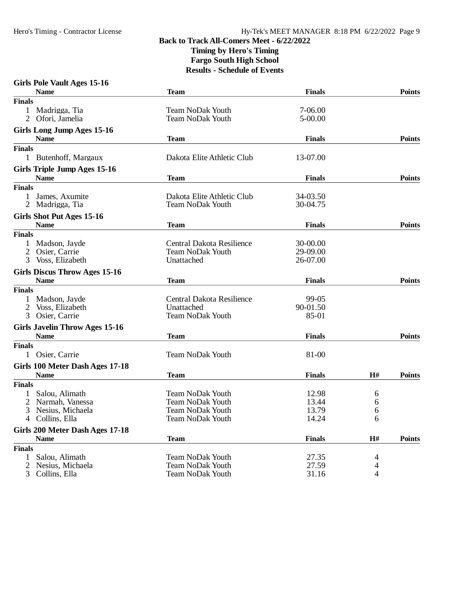| <b>Girls Pole Vault Ages 15-16</b>                |                                                    |                |                |               |
|---------------------------------------------------|----------------------------------------------------|----------------|----------------|---------------|
| <b>Name</b>                                       | <b>Team</b>                                        | <b>Finals</b>  |                | <b>Points</b> |
| <b>Finals</b>                                     |                                                    |                |                |               |
| 1 Madrigga, Tia                                   | <b>Team NoDak Youth</b>                            | 7-06.00        |                |               |
| 2 Ofori, Jamelia                                  | <b>Team NoDak Youth</b>                            | 5-00.00        |                |               |
| Girls Long Jump Ages 15-16                        |                                                    |                |                |               |
| <b>Name</b>                                       | <b>Team</b>                                        | <b>Finals</b>  |                | <b>Points</b> |
| <b>Finals</b>                                     |                                                    |                |                |               |
| 1 Butenhoff, Margaux                              | Dakota Elite Athletic Club                         | 13-07.00       |                |               |
| <b>Girls Triple Jump Ages 15-16</b>               |                                                    |                |                |               |
| <b>Name</b>                                       | <b>Team</b>                                        | <b>Finals</b>  |                | <b>Points</b> |
| <b>Finals</b>                                     |                                                    |                |                |               |
| James, Axumite                                    | Dakota Elite Athletic Club                         | 34-03.50       |                |               |
| Madrigga, Tia<br>2                                | <b>Team NoDak Youth</b>                            | 30-04.75       |                |               |
| Girls Shot Put Ages 15-16                         |                                                    |                |                |               |
| <b>Name</b>                                       | <b>Team</b>                                        | <b>Finals</b>  |                | <b>Points</b> |
| <b>Finals</b>                                     |                                                    |                |                |               |
| Madson, Jayde                                     | Central Dakota Resilience                          | 30-00.00       |                |               |
| $\overline{2}$<br>Osier, Carrie                   | Team NoDak Youth                                   | 29-09.00       |                |               |
| Voss, Elizabeth<br>3                              | Unattached                                         | 26-07.00       |                |               |
| <b>Girls Discus Throw Ages 15-16</b>              |                                                    |                |                |               |
| <b>Name</b>                                       | <b>Team</b>                                        | <b>Finals</b>  |                | <b>Points</b> |
| <b>Finals</b>                                     |                                                    |                |                |               |
| Madson, Jayde                                     | Central Dakota Resilience                          | 99-05          |                |               |
| 2<br>Voss, Elizabeth                              | Unattached                                         | 90-01.50       |                |               |
| 3<br>Osier, Carrie                                | <b>Team NoDak Youth</b>                            | 85-01          |                |               |
| <b>Girls Javelin Throw Ages 15-16</b>             |                                                    |                |                |               |
| <b>Name</b>                                       | <b>Team</b>                                        | <b>Finals</b>  |                | <b>Points</b> |
| <b>Finals</b>                                     |                                                    |                |                |               |
| 1 Osier, Carrie                                   | <b>Team NoDak Youth</b>                            | 81-00          |                |               |
|                                                   |                                                    |                |                |               |
| Girls 100 Meter Dash Ages 17-18                   |                                                    |                |                |               |
| <b>Name</b>                                       | <b>Team</b>                                        | <b>Finals</b>  | H#             | <b>Points</b> |
| <b>Finals</b>                                     |                                                    |                |                |               |
| Salou, Alimath<br>$\mathbf{1}$<br>Narmah, Vanessa | <b>Team NoDak Youth</b><br><b>Team NoDak Youth</b> | 12.98<br>13.44 | 6              |               |
| 2<br>3<br>Nesius, Michaela                        | <b>Team NoDak Youth</b>                            | 13.79          | 6<br>6         |               |
| 4 Collins, Ella                                   | Team NoDak Youth                                   | 14.24          | 6              |               |
|                                                   |                                                    |                |                |               |
| Girls 200 Meter Dash Ages 17-18<br><b>Name</b>    | <b>Team</b>                                        | <b>Finals</b>  | $\mathbf{H}$ # | <b>Points</b> |
| <b>Finals</b>                                     |                                                    |                |                |               |
| Salou, Alimath<br>$\mathbf{1}$                    | <b>Team NoDak Youth</b>                            | 27.35          |                |               |
| Nesius, Michaela<br>2                             | <b>Team NoDak Youth</b>                            | 27.59          | 4<br>4         |               |
| 3<br>Collins, Ella                                | <b>Team NoDak Youth</b>                            | 31.16          | 4              |               |
|                                                   |                                                    |                |                |               |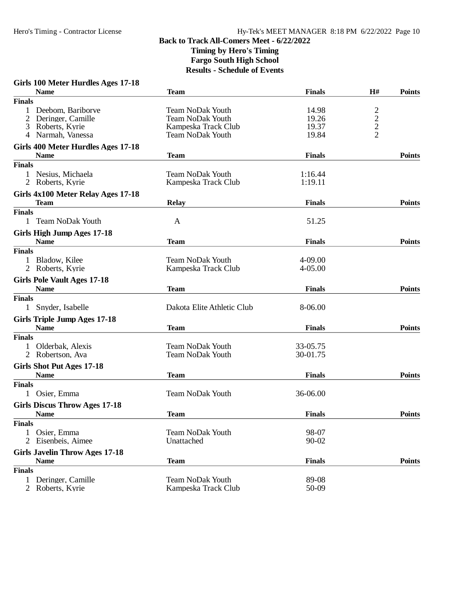#### **Girls 100 Meter Hurdles Ages 17-18**

|                | <b>Name</b>                                          | <b>Team</b>                | <b>Finals</b> | H#                                         | <b>Points</b> |
|----------------|------------------------------------------------------|----------------------------|---------------|--------------------------------------------|---------------|
| <b>Finals</b>  |                                                      |                            |               |                                            |               |
|                | Deebom, Bariborve                                    | Team NoDak Youth           | 14.98         |                                            |               |
|                | Deringer, Camille                                    | Team NoDak Youth           | 19.26         | $\begin{array}{c} 2 \\ 2 \\ 2 \end{array}$ |               |
| 3              | Roberts, Kyrie                                       | Kampeska Track Club        | 19.37         |                                            |               |
| 4              | Narmah, Vanessa                                      | <b>Team NoDak Youth</b>    | 19.84         |                                            |               |
|                | Girls 400 Meter Hurdles Ages 17-18                   |                            |               |                                            |               |
|                | <b>Name</b>                                          | <b>Team</b>                | <b>Finals</b> |                                            | <b>Points</b> |
| <b>Finals</b>  |                                                      |                            |               |                                            |               |
|                | 1 Nesius, Michaela                                   | <b>Team NoDak Youth</b>    | 1:16.44       |                                            |               |
|                | 2 Roberts, Kyrie                                     | Kampeska Track Club        | 1:19.11       |                                            |               |
|                | Girls 4x100 Meter Relay Ages 17-18                   |                            |               |                                            |               |
|                | <b>Team</b>                                          | <b>Relay</b>               | <b>Finals</b> |                                            | <b>Points</b> |
| <b>Finals</b>  |                                                      |                            |               |                                            |               |
|                | <b>Team NoDak Youth</b>                              | A                          | 51.25         |                                            |               |
|                | Girls High Jump Ages 17-18                           |                            |               |                                            |               |
|                | <b>Name</b>                                          | <b>Team</b>                | <b>Finals</b> |                                            | <b>Points</b> |
| <b>Finals</b>  |                                                      |                            |               |                                            |               |
| 1              | Bladow, Kilee                                        | <b>Team NoDak Youth</b>    | 4-09.00       |                                            |               |
|                | 2 Roberts, Kyrie                                     | Kampeska Track Club        | $4 - 05.00$   |                                            |               |
|                | <b>Girls Pole Vault Ages 17-18</b>                   |                            |               |                                            |               |
|                | <b>Name</b>                                          | <b>Team</b>                | <b>Finals</b> |                                            | <b>Points</b> |
| <b>Finals</b>  |                                                      |                            |               |                                            |               |
| $\mathbf{1}$   | Snyder, Isabelle                                     | Dakota Elite Athletic Club | 8-06.00       |                                            |               |
|                | <b>Girls Triple Jump Ages 17-18</b>                  |                            |               |                                            |               |
|                | <b>Name</b>                                          | <b>Team</b>                | <b>Finals</b> |                                            | <b>Points</b> |
| <b>Finals</b>  |                                                      |                            |               |                                            |               |
|                | Olderbak, Alexis                                     | <b>Team NoDak Youth</b>    | 33-05.75      |                                            |               |
|                | 2 Robertson, Ava                                     | <b>Team NoDak Youth</b>    | 30-01.75      |                                            |               |
|                | <b>Girls Shot Put Ages 17-18</b>                     |                            |               |                                            |               |
|                | <b>Name</b>                                          | <b>Team</b>                | <b>Finals</b> |                                            | <b>Points</b> |
| <b>Finals</b>  |                                                      |                            |               |                                            |               |
|                | Osier, Emma                                          | <b>Team NoDak Youth</b>    | 36-06.00      |                                            |               |
|                | <b>Girls Discus Throw Ages 17-18</b>                 |                            |               |                                            |               |
|                | <b>Name</b>                                          | <b>Team</b>                | <b>Finals</b> |                                            | <b>Points</b> |
| <b>Finals</b>  |                                                      |                            |               |                                            |               |
|                | 1 Osier, Emma                                        | <b>Team NoDak Youth</b>    | 98-07         |                                            |               |
|                | 2 Eisenbeis, Aimee                                   | Unattached                 | 90-02         |                                            |               |
|                |                                                      |                            |               |                                            |               |
|                | <b>Girls Javelin Throw Ages 17-18</b><br><b>Name</b> |                            | <b>Finals</b> |                                            | <b>Points</b> |
|                |                                                      | <b>Team</b>                |               |                                            |               |
| <b>Finals</b>  |                                                      | <b>Team NoDak Youth</b>    |               |                                            |               |
|                | Deringer, Camille                                    |                            | 89-08         |                                            |               |
| $\overline{2}$ | Roberts, Kyrie                                       | Kampeska Track Club        | 50-09         |                                            |               |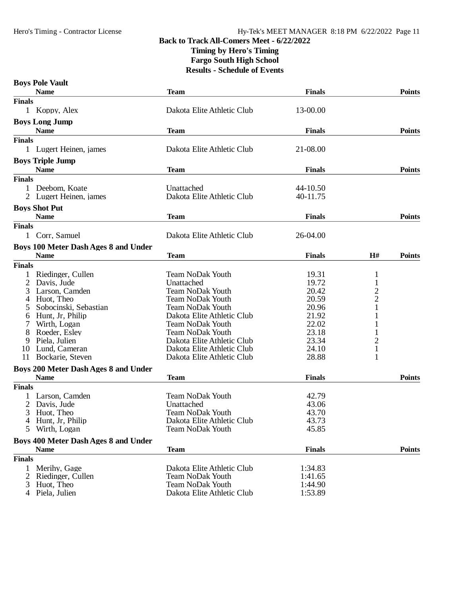## **Back to Track All-Comers Meet - 6/22/2022 Timing by Hero's Timing**

**Fargo South High School**

|               | <b>Boys Pole Vault</b>                                     |                                |               |                |               |
|---------------|------------------------------------------------------------|--------------------------------|---------------|----------------|---------------|
|               | <b>Name</b>                                                | <b>Team</b>                    | <b>Finals</b> |                | <b>Points</b> |
| <b>Finals</b> |                                                            |                                |               |                |               |
|               | 1 Koppy, Alex                                              | Dakota Elite Athletic Club     | 13-00.00      |                |               |
|               | <b>Boys Long Jump</b>                                      |                                |               |                |               |
|               | <b>Name</b>                                                | <b>Team</b>                    | <b>Finals</b> |                | <b>Points</b> |
| <b>Finals</b> |                                                            |                                |               |                |               |
|               | 1 Lugert Heinen, james                                     | Dakota Elite Athletic Club     | 21-08.00      |                |               |
|               | <b>Boys Triple Jump</b><br><b>Name</b>                     | <b>Team</b>                    | <b>Finals</b> |                | <b>Points</b> |
| <b>Finals</b> |                                                            |                                |               |                |               |
|               | 1 Deebom, Koate                                            | Unattached                     | 44-10.50      |                |               |
|               | Lugert Heinen, james                                       | Dakota Elite Athletic Club     | 40-11.75      |                |               |
|               | <b>Boys Shot Put</b>                                       |                                |               |                |               |
|               | <b>Name</b>                                                | <b>Team</b>                    | <b>Finals</b> |                | <b>Points</b> |
| <b>Finals</b> |                                                            |                                |               |                |               |
|               | Corr, Samuel                                               | Dakota Elite Athletic Club     | 26-04.00      |                |               |
|               | <b>Boys 100 Meter Dash Ages 8 and Under</b>                |                                |               |                |               |
|               | <b>Name</b>                                                | <b>Team</b>                    | <b>Finals</b> | H#             | <b>Points</b> |
| <b>Finals</b> |                                                            |                                |               |                |               |
|               | Riedinger, Cullen                                          | <b>Team NoDak Youth</b>        | 19.31         | 1              |               |
| 2             | Davis, Jude                                                | Unattached                     | 19.72         | $\mathbf{1}$   |               |
| 3             | Larson, Camden                                             | <b>Team NoDak Youth</b>        | 20.42         | $\overline{c}$ |               |
|               | Huot, Theo                                                 | <b>Team NoDak Youth</b>        | 20.59         | $\overline{c}$ |               |
|               | Sobocinski, Sebastian                                      | Team NoDak Youth               | 20.96         | 1              |               |
| 6             | Hunt, Jr, Philip                                           | Dakota Elite Athletic Club     | 21.92         |                |               |
|               | Wirth, Logan                                               | <b>Team NoDak Youth</b>        | 22.02         |                |               |
| 8             | Roeder, Esley                                              | <b>Team NoDak Youth</b>        | 23.18         | 1              |               |
| 9             | Piela, Julien                                              | Dakota Elite Athletic Club     | 23.34         | $\overline{c}$ |               |
| 10            | Lund, Cameran                                              | Dakota Elite Athletic Club     | 24.10         | $\mathbf{1}$   |               |
| 11            | Bockarie, Steven                                           | Dakota Elite Athletic Club     | 28.88         | 1              |               |
|               |                                                            |                                |               |                |               |
|               | <b>Boys 200 Meter Dash Ages 8 and Under</b><br><b>Name</b> | <b>Team</b>                    | <b>Finals</b> |                | <b>Points</b> |
| <b>Finals</b> |                                                            |                                |               |                |               |
|               | Larson, Camden                                             | <b>Team NoDak Youth</b>        | 42.79         |                |               |
|               | Davis, Jude                                                |                                | 43.06         |                |               |
| 2<br>3        | Huot, Theo                                                 | Unattached<br>Team NoDak Youth | 43.70         |                |               |
|               | 4 Hunt, Jr, Philip                                         | Dakota Elite Athletic Club     | 43.73         |                |               |
| 5             | Wirth, Logan                                               | <b>Team NoDak Youth</b>        | 45.85         |                |               |
|               |                                                            |                                |               |                |               |
|               | <b>Boys 400 Meter Dash Ages 8 and Under</b>                |                                |               |                |               |
|               | <b>Name</b>                                                | <b>Team</b>                    | <b>Finals</b> |                | <b>Points</b> |
| <b>Finals</b> |                                                            |                                |               |                |               |
|               | Merihy, Gage                                               | Dakota Elite Athletic Club     | 1:34.83       |                |               |
| 2             | Riedinger, Cullen                                          | <b>Team NoDak Youth</b>        | 1:41.65       |                |               |
| 3             | Huot, Theo                                                 | <b>Team NoDak Youth</b>        | 1:44.90       |                |               |
|               | 4 Piela, Julien                                            | Dakota Elite Athletic Club     | 1:53.89       |                |               |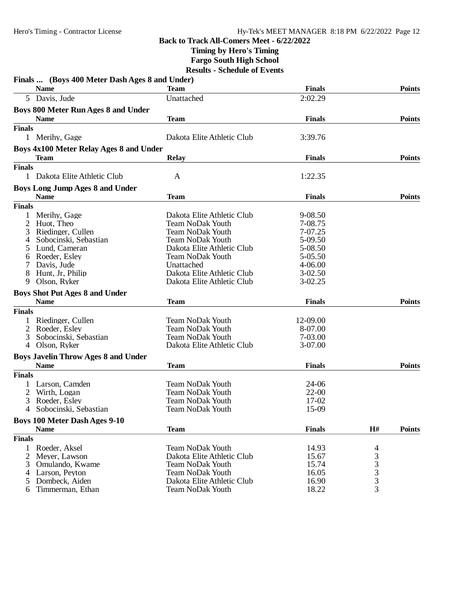**Timing by Hero's Timing**

**Fargo South High School**

|                | Finals  (Boys 400 Meter Dash Ages 8 and Under)      |                            |               |                                                   |               |
|----------------|-----------------------------------------------------|----------------------------|---------------|---------------------------------------------------|---------------|
|                | <b>Name</b>                                         | <b>Team</b>                | <b>Finals</b> |                                                   | <b>Points</b> |
|                | 5 Davis, Jude                                       | Unattached                 | 2:02.29       |                                                   |               |
|                | <b>Boys 800 Meter Run Ages 8 and Under</b>          |                            |               |                                                   |               |
|                | <b>Name</b>                                         | <b>Team</b>                | <b>Finals</b> |                                                   | <b>Points</b> |
| <b>Finals</b>  |                                                     |                            |               |                                                   |               |
|                | 1 Merihy, Gage                                      | Dakota Elite Athletic Club | 3:39.76       |                                                   |               |
|                | Boys 4x100 Meter Relay Ages 8 and Under             |                            |               |                                                   |               |
|                | Team                                                | <b>Relay</b>               | <b>Finals</b> |                                                   | <b>Points</b> |
| <b>Finals</b>  |                                                     |                            |               |                                                   |               |
| 1              | Dakota Elite Athletic Club                          | A                          | 1:22.35       |                                                   |               |
|                | <b>Boys Long Jump Ages 8 and Under</b>              |                            |               |                                                   |               |
|                | <b>Name</b>                                         | <b>Team</b>                | <b>Finals</b> |                                                   | <b>Points</b> |
| <b>Finals</b>  |                                                     |                            |               |                                                   |               |
| 1              | Merihy, Gage                                        | Dakota Elite Athletic Club | 9-08.50       |                                                   |               |
| $\overline{2}$ | Huot, Theo                                          | <b>Team NoDak Youth</b>    | 7-08.75       |                                                   |               |
| 3              | Riedinger, Cullen                                   | <b>Team NoDak Youth</b>    | 7-07.25       |                                                   |               |
| 4              | Sobocinski, Sebastian                               | <b>Team NoDak Youth</b>    | 5-09.50       |                                                   |               |
| 5              | Lund, Cameran                                       | Dakota Elite Athletic Club | 5-08.50       |                                                   |               |
| 6              | Roeder, Esley                                       | <b>Team NoDak Youth</b>    | 5-05.50       |                                                   |               |
| 7              | Davis, Jude                                         | Unattached                 | 4-06.00       |                                                   |               |
| 8              | Hunt, Jr, Philip                                    | Dakota Elite Athletic Club | $3-02.50$     |                                                   |               |
| 9              | Olson, Ryker                                        | Dakota Elite Athletic Club | $3-02.25$     |                                                   |               |
|                | <b>Boys Shot Put Ages 8 and Under</b>               |                            |               |                                                   |               |
|                | <b>Name</b>                                         | <b>Team</b>                | <b>Finals</b> |                                                   | <b>Points</b> |
| <b>Finals</b>  |                                                     |                            |               |                                                   |               |
|                | Riedinger, Cullen                                   | <b>Team NoDak Youth</b>    | 12-09.00      |                                                   |               |
| 2              | Roeder, Esley                                       | <b>Team NoDak Youth</b>    | 8-07.00       |                                                   |               |
| 3              | Sobocinski, Sebastian                               | <b>Team NoDak Youth</b>    | 7-03.00       |                                                   |               |
| 4              | Olson, Ryker                                        | Dakota Elite Athletic Club | 3-07.00       |                                                   |               |
|                | <b>Boys Javelin Throw Ages 8 and Under</b>          |                            |               |                                                   |               |
|                | <b>Name</b>                                         | <b>Team</b>                | <b>Finals</b> |                                                   | <b>Points</b> |
| <b>Finals</b>  |                                                     |                            |               |                                                   |               |
|                | Larson, Camden                                      | <b>Team NoDak Youth</b>    | 24-06         |                                                   |               |
| 2              | Wirth, Logan                                        | <b>Team NoDak Youth</b>    | $22 - 00$     |                                                   |               |
| 3              | Roeder, Esley                                       | <b>Team NoDak Youth</b>    | 17-02         |                                                   |               |
| 4              | Sobocinski, Sebastian                               | <b>Team NoDak Youth</b>    | 15-09         |                                                   |               |
|                |                                                     |                            |               |                                                   |               |
|                | <b>Boys 100 Meter Dash Ages 9-10</b><br><b>Name</b> | <b>Team</b>                | <b>Finals</b> | H#                                                | <b>Points</b> |
| <b>Finals</b>  |                                                     |                            |               |                                                   |               |
| 1              | Roeder, Aksel                                       | <b>Team NoDak Youth</b>    | 14.93         |                                                   |               |
| 2              | Meyer, Lawson                                       | Dakota Elite Athletic Club | 15.67         | 4                                                 |               |
| 3              | Omulando, Kwame                                     | <b>Team NoDak Youth</b>    | 15.74         |                                                   |               |
|                | Larson, Peyton                                      | <b>Team NoDak Youth</b>    | 16.05         | $\begin{array}{c}\n3 \\ 3 \\ 3 \\ 3\n\end{array}$ |               |
| 4              |                                                     |                            |               |                                                   |               |
| 5              | Dombeck, Aiden                                      | Dakota Elite Athletic Club | 16.90         |                                                   |               |
| 6              | Timmerman, Ethan                                    | <b>Team NoDak Youth</b>    | 18.22         |                                                   |               |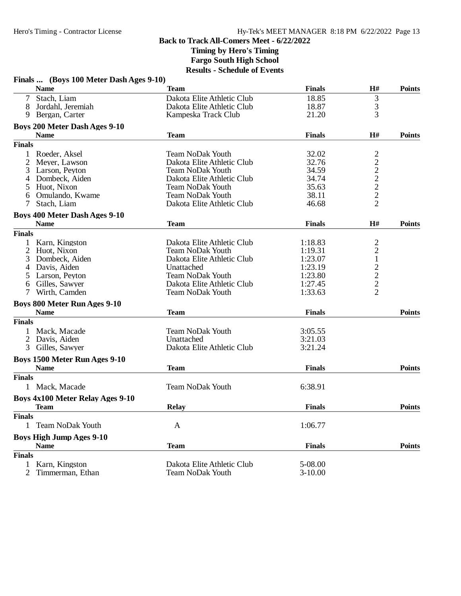**Timing by Hero's Timing**

**Fargo South High School**

|                | Finals  (Boys 100 Meter Dash Ages 9-10) |                            |               |                                                 |               |
|----------------|-----------------------------------------|----------------------------|---------------|-------------------------------------------------|---------------|
|                | <b>Name</b>                             | Team                       | <b>Finals</b> | H#                                              | <b>Points</b> |
|                | Stach, Liam                             | Dakota Elite Athletic Club | 18.85         | 3                                               |               |
| 8              | Jordahl, Jeremiah                       | Dakota Elite Athletic Club | 18.87         | 3                                               |               |
| 9              | Bergan, Carter                          | Kampeska Track Club        | 21.20         | 3                                               |               |
|                | <b>Boys 200 Meter Dash Ages 9-10</b>    |                            |               |                                                 |               |
|                | <b>Name</b>                             | <b>Team</b>                | <b>Finals</b> | H#                                              | <b>Points</b> |
| <b>Finals</b>  |                                         |                            |               |                                                 |               |
| $\mathbf{1}$   | Roeder, Aksel                           | <b>Team NoDak Youth</b>    | 32.02         |                                                 |               |
| 2              | Meyer, Lawson                           | Dakota Elite Athletic Club | 32.76         |                                                 |               |
| 3              | Larson, Peyton                          | <b>Team NoDak Youth</b>    | 34.59         | $\frac{2}{2}$<br>$\frac{2}{2}$<br>$\frac{2}{2}$ |               |
| 4              | Dombeck, Aiden                          | Dakota Elite Athletic Club | 34.74         |                                                 |               |
| 5              | Huot, Nixon                             | <b>Team NoDak Youth</b>    | 35.63         |                                                 |               |
| 6              |                                         | <b>Team NoDak Youth</b>    | 38.11         |                                                 |               |
|                | Omulando, Kwame                         |                            |               |                                                 |               |
| 7              | Stach, Liam                             | Dakota Elite Athletic Club | 46.68         |                                                 |               |
|                | <b>Boys 400 Meter Dash Ages 9-10</b>    |                            |               |                                                 |               |
|                | <b>Name</b>                             | <b>Team</b>                | <b>Finals</b> | H#                                              | <b>Points</b> |
| <b>Finals</b>  |                                         |                            |               |                                                 |               |
|                | Karn, Kingston                          | Dakota Elite Athletic Club | 1:18.83       |                                                 |               |
| 2              | Huot, Nixon                             | <b>Team NoDak Youth</b>    | 1:19.31       |                                                 |               |
| 3              | Dombeck, Aiden                          | Dakota Elite Athletic Club | 1:23.07       | $\begin{array}{c} 2 \\ 2 \\ 1 \end{array}$      |               |
| 4              | Davis, Aiden                            | Unattached                 | 1:23.19       |                                                 |               |
| 5              | Larson, Peyton                          | <b>Team NoDak Youth</b>    | 1:23.80       |                                                 |               |
| 6              | Gilles, Sawyer                          | Dakota Elite Athletic Club | 1:27.45       |                                                 |               |
| 7              | Wirth, Camden                           | <b>Team NoDak Youth</b>    | 1:33.63       | $\begin{array}{c} 2 \\ 2 \\ 2 \end{array}$      |               |
|                | <b>Boys 800 Meter Run Ages 9-10</b>     |                            |               |                                                 |               |
|                | <b>Name</b>                             | <b>Team</b>                | <b>Finals</b> |                                                 | <b>Points</b> |
| <b>Finals</b>  |                                         |                            |               |                                                 |               |
|                | 1 Mack, Macade                          | <b>Team NoDak Youth</b>    | 3:05.55       |                                                 |               |
| $\overline{2}$ |                                         | Unattached                 | 3:21.03       |                                                 |               |
|                | Davis, Aiden                            |                            |               |                                                 |               |
| 3              | Gilles, Sawyer                          | Dakota Elite Athletic Club | 3:21.24       |                                                 |               |
|                | Boys 1500 Meter Run Ages 9-10           |                            |               |                                                 |               |
|                | <b>Name</b>                             | <b>Team</b>                | <b>Finals</b> |                                                 | <b>Points</b> |
| <b>Finals</b>  |                                         |                            |               |                                                 |               |
|                | 1 Mack, Macade                          | <b>Team NoDak Youth</b>    | 6:38.91       |                                                 |               |
|                | <b>Boys 4x100 Meter Relay Ages 9-10</b> |                            |               |                                                 |               |
|                | <b>Team</b>                             | <b>Relay</b>               | <b>Finals</b> |                                                 | <b>Points</b> |
| <b>Finals</b>  |                                         |                            |               |                                                 |               |
| 1              | <b>Team NoDak Youth</b>                 | A                          | 1:06.77       |                                                 |               |
|                | <b>Boys High Jump Ages 9-10</b>         |                            |               |                                                 |               |
|                | <b>Name</b>                             | <b>Team</b>                | <b>Finals</b> |                                                 | <b>Points</b> |
| <b>Finals</b>  |                                         |                            |               |                                                 |               |
| 1              | Karn, Kingston                          | Dakota Elite Athletic Club | 5-08.00       |                                                 |               |
| 2              | Timmerman, Ethan                        | <b>Team NoDak Youth</b>    | $3-10.00$     |                                                 |               |
|                |                                         |                            |               |                                                 |               |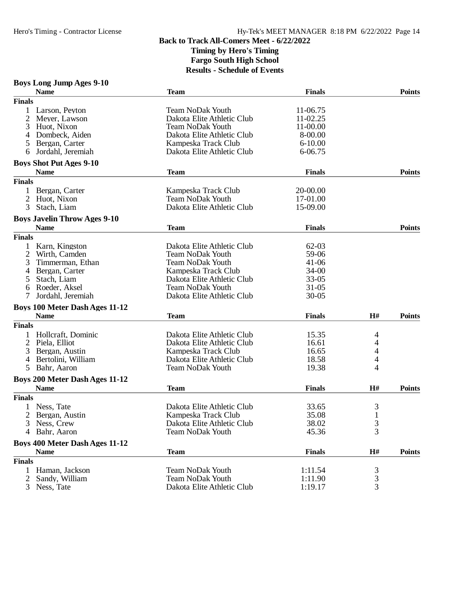### **Boys Long Jump Ages 9-10**

|                | <b>Name</b>                           | <b>Team</b>                                           | <b>Finals</b>        |                | <b>Points</b> |
|----------------|---------------------------------------|-------------------------------------------------------|----------------------|----------------|---------------|
| <b>Finals</b>  |                                       |                                                       |                      |                |               |
|                | Larson, Peyton<br>Meyer, Lawson       | <b>Team NoDak Youth</b><br>Dakota Elite Athletic Club | 11-06.75<br>11-02.25 |                |               |
| 3<br>4         | Huot, Nixon<br>Dombeck, Aiden         | <b>Team NoDak Youth</b><br>Dakota Elite Athletic Club | 11-00.00<br>8-00.00  |                |               |
| 5              | Bergan, Carter                        | Kampeska Track Club                                   | $6 - 10.00$          |                |               |
| 6              | Jordahl, Jeremiah                     | Dakota Elite Athletic Club                            | 6-06.75              |                |               |
|                | <b>Boys Shot Put Ages 9-10</b>        |                                                       |                      |                |               |
|                | <b>Name</b>                           | <b>Team</b>                                           | <b>Finals</b>        |                | <b>Points</b> |
| <b>Finals</b>  |                                       |                                                       |                      |                |               |
|                | Bergan, Carter                        | Kampeska Track Club                                   | 20-00.00             |                |               |
| $\overline{2}$ | Huot, Nixon                           | <b>Team NoDak Youth</b>                               | 17-01.00             |                |               |
| 3              | Stach, Liam                           | Dakota Elite Athletic Club                            | 15-09.00             |                |               |
|                | <b>Boys Javelin Throw Ages 9-10</b>   |                                                       |                      |                |               |
|                | <b>Name</b>                           | <b>Team</b>                                           | <b>Finals</b>        |                | <b>Points</b> |
| <b>Finals</b>  |                                       |                                                       |                      |                |               |
|                | Karn, Kingston                        | Dakota Elite Athletic Club                            | 62-03                |                |               |
| 2              | Wirth, Camden                         | <b>Team NoDak Youth</b>                               | 59-06                |                |               |
| 3              | Timmerman, Ethan                      | <b>Team NoDak Youth</b>                               | $41 - 06$            |                |               |
| 4              | Bergan, Carter                        | Kampeska Track Club                                   | $34 - 00$            |                |               |
| 5              | Stach, Liam                           | Dakota Elite Athletic Club                            | $33 - 05$            |                |               |
| 6              | Roeder, Aksel                         | <b>Team NoDak Youth</b>                               | $31 - 05$            |                |               |
| 7              | Jordahl, Jeremiah                     | Dakota Elite Athletic Club                            | $30 - 05$            |                |               |
|                | <b>Boys 100 Meter Dash Ages 11-12</b> |                                                       |                      |                |               |
|                | <b>Name</b>                           | <b>Team</b>                                           | <b>Finals</b>        | H#             | <b>Points</b> |
| <b>Finals</b>  |                                       |                                                       |                      |                |               |
|                | Hollcraft, Dominic                    | Dakota Elite Athletic Club                            | 15.35                | 4              |               |
|                | 2 Piela, Elliot                       | Dakota Elite Athletic Club                            | 16.61                | 4              |               |
| 3              | Bergan, Austin                        | Kampeska Track Club                                   | 16.65                | 4              |               |
| 4              | Bertolini, William                    | Dakota Elite Athletic Club                            | 18.58                | 4              |               |
| 5              | Bahr, Aaron                           | <b>Team NoDak Youth</b>                               | 19.38                | 4              |               |
|                | <b>Boys 200 Meter Dash Ages 11-12</b> |                                                       |                      |                |               |
|                | <b>Name</b>                           | <b>Team</b>                                           | <b>Finals</b>        | H#             | <b>Points</b> |
| <b>Finals</b>  |                                       |                                                       |                      |                |               |
|                | Ness, Tate                            | Dakota Elite Athletic Club                            | 33.65                | 3              |               |
| $\overline{2}$ | Bergan, Austin                        | Kampeska Track Club                                   | 35.08                | $\mathbf{1}$   |               |
|                | 3 Ness, Crew                          | Dakota Elite Athletic Club                            | 38.02                | 3              |               |
|                | 4 Bahr, Aaron                         | <b>Team NoDak Youth</b>                               | 45.36                | 3              |               |
|                | <b>Boys 400 Meter Dash Ages 11-12</b> |                                                       |                      |                |               |
|                | <b>Name</b>                           | <b>Team</b>                                           | <b>Finals</b>        | $\mathbf{H}$ # | <b>Points</b> |
| <b>Finals</b>  |                                       |                                                       |                      |                |               |
| 1              | Haman, Jackson                        | <b>Team NoDak Youth</b>                               | 1:11.54              | $\frac{3}{3}$  |               |
|                | 2 Sandy, William                      | <b>Team NoDak Youth</b>                               | 1:11.90              |                |               |
|                | 3 Ness, Tate                          | Dakota Elite Athletic Club                            | 1:19.17              | 3              |               |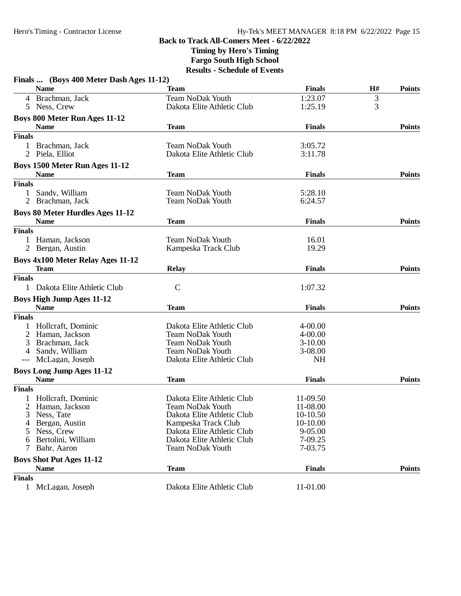**Timing by Hero's Timing**

**Fargo South High School**

|               | Finals  (Boys 400 Meter Dash Ages 11-12) |                            |               |    |               |
|---------------|------------------------------------------|----------------------------|---------------|----|---------------|
|               | <b>Name</b>                              | <b>Team</b>                | <b>Finals</b> | H# | <b>Points</b> |
|               | 4 Brachman, Jack                         | <b>Team NoDak Youth</b>    | 1:23.07       | 3  |               |
|               | 5 Ness, Crew                             | Dakota Elite Athletic Club | 1:25.19       | 3  |               |
|               | Boys 800 Meter Run Ages 11-12            |                            |               |    |               |
|               | <b>Name</b>                              | <b>Team</b>                | <b>Finals</b> |    | <b>Points</b> |
| <b>Finals</b> |                                          |                            |               |    |               |
|               | Brachman, Jack                           | <b>Team NoDak Youth</b>    | 3:05.72       |    |               |
|               | 2 Piela, Elliot                          | Dakota Elite Athletic Club | 3:11.78       |    |               |
|               | Boys 1500 Meter Run Ages 11-12           |                            |               |    |               |
|               | <b>Name</b>                              | <b>Team</b>                | <b>Finals</b> |    | <b>Points</b> |
| <b>Finals</b> |                                          |                            |               |    |               |
| $\mathbf{1}$  | Sandy, William                           | <b>Team NoDak Youth</b>    | 5:28.10       |    |               |
|               | 2 Brachman, Jack                         | <b>Team NoDak Youth</b>    | 6:24.57       |    |               |
|               | <b>Boys 80 Meter Hurdles Ages 11-12</b>  |                            |               |    |               |
|               | <b>Name</b>                              | <b>Team</b>                | <b>Finals</b> |    | <b>Points</b> |
| <b>Finals</b> |                                          |                            |               |    |               |
|               | 1 Haman, Jackson                         | <b>Team NoDak Youth</b>    | 16.01         |    |               |
|               | 2 Bergan, Austin                         | Kampeska Track Club        | 19.29         |    |               |
|               | <b>Boys 4x100 Meter Relay Ages 11-12</b> |                            |               |    |               |
|               | <b>Team</b>                              | <b>Relay</b>               | <b>Finals</b> |    | <b>Points</b> |
| <b>Finals</b> |                                          |                            |               |    |               |
|               | 1 Dakota Elite Athletic Club             | $\mathsf{C}$               | 1:07.32       |    |               |
|               | <b>Boys High Jump Ages 11-12</b>         |                            |               |    |               |
|               | <b>Name</b>                              | <b>Team</b>                | <b>Finals</b> |    | <b>Points</b> |
| <b>Finals</b> |                                          |                            |               |    |               |
|               | Hollcraft, Dominic                       | Dakota Elite Athletic Club | $4 - 00.00$   |    |               |
|               | Haman, Jackson                           | <b>Team NoDak Youth</b>    | $4 - 00.00$   |    |               |
| 3             | Brachman, Jack                           | <b>Team NoDak Youth</b>    | $3-10.00$     |    |               |
| 4             | Sandy, William                           | <b>Team NoDak Youth</b>    | 3-08.00       |    |               |
| $---$         | McLagan, Joseph                          | Dakota Elite Athletic Club | <b>NH</b>     |    |               |
|               | <b>Boys Long Jump Ages 11-12</b>         |                            |               |    |               |
|               | <b>Name</b>                              | <b>Team</b>                | <b>Finals</b> |    | <b>Points</b> |
| <b>Finals</b> |                                          |                            |               |    |               |
|               | Hollcraft, Dominic                       | Dakota Elite Athletic Club | 11-09.50      |    |               |
|               | 2 Haman, Jackson                         | <b>Team NoDak Youth</b>    | 11-08.00      |    |               |
| 3             | Ness, Tate                               | Dakota Elite Athletic Club | 10-10.50      |    |               |
|               | Bergan, Austin                           | Kampeska Track Club        | 10-10.00      |    |               |
|               | Ness, Crew                               | Dakota Elite Athletic Club | $9 - 05.00$   |    |               |
| 6             | Bertolini, William                       | Dakota Elite Athletic Club | 7-09.25       |    |               |
| 7             | Bahr, Aaron                              | <b>Team NoDak Youth</b>    | 7-03.75       |    |               |
|               | <b>Boys Shot Put Ages 11-12</b>          |                            |               |    |               |
|               | <b>Name</b>                              | <b>Team</b>                | <b>Finals</b> |    | <b>Points</b> |
| <b>Finals</b> |                                          |                            |               |    |               |
|               | 1 McLagan, Joseph                        | Dakota Elite Athletic Club | 11-01.00      |    |               |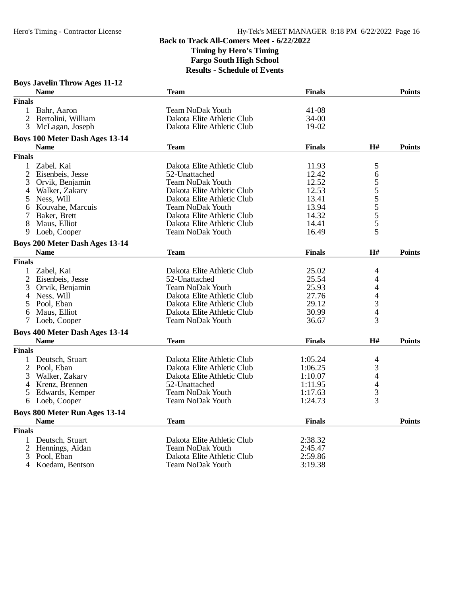### **Boys Javelin Throw Ages 11-12**

|                | <b>Name</b>                           | <b>Team</b>                | <b>Finals</b> |                | <b>Points</b> |
|----------------|---------------------------------------|----------------------------|---------------|----------------|---------------|
| <b>Finals</b>  |                                       |                            |               |                |               |
|                | 1 Bahr, Aaron                         | <b>Team NoDak Youth</b>    | $41 - 08$     |                |               |
| 2              | Bertolini, William                    | Dakota Elite Athletic Club | $34 - 00$     |                |               |
| 3              | McLagan, Joseph                       | Dakota Elite Athletic Club | 19-02         |                |               |
|                | <b>Boys 100 Meter Dash Ages 13-14</b> |                            |               |                |               |
|                | <b>Name</b>                           | <b>Team</b>                | <b>Finals</b> | H#             | <b>Points</b> |
| <b>Finals</b>  |                                       |                            |               |                |               |
| $\mathbf{1}$   | Zabel, Kai                            | Dakota Elite Athletic Club | 11.93         | 5              |               |
| $\overline{2}$ | Eisenbeis, Jesse                      | 52-Unattached              | 12.42         | 6              |               |
| 3              | Orvik, Benjamin                       | <b>Team NoDak Youth</b>    | 12.52         |                |               |
| 4              | Walker, Zakary                        | Dakota Elite Athletic Club | 12.53         |                |               |
| 5              | Ness, Will                            | Dakota Elite Athletic Club | 13.41         | 5555555        |               |
| 6              | Kouvahe, Marcuis                      | <b>Team NoDak Youth</b>    | 13.94         |                |               |
|                | Baker, Brett                          | Dakota Elite Athletic Club | 14.32         |                |               |
| 8              | Maus, Elliot                          | Dakota Elite Athletic Club | 14.41         |                |               |
| 9              | Loeb, Cooper                          | <b>Team NoDak Youth</b>    | 16.49         | 5              |               |
|                | Boys 200 Meter Dash Ages 13-14        |                            |               |                |               |
|                | <b>Name</b>                           | <b>Team</b>                | <b>Finals</b> | H#             | <b>Points</b> |
| <b>Finals</b>  |                                       |                            |               |                |               |
|                | Zabel, Kai                            | Dakota Elite Athletic Club | 25.02         | 4              |               |
| $\overline{2}$ | Eisenbeis, Jesse                      | 52-Unattached              | 25.54         | 4              |               |
| 3              | Orvik, Benjamin                       | <b>Team NoDak Youth</b>    | 25.93         | 4              |               |
| 4              | Ness, Will                            | Dakota Elite Athletic Club | 27.76         | $\overline{4}$ |               |
| 5              | Pool, Eban                            | Dakota Elite Athletic Club | 29.12         |                |               |
| 6              | Maus, Elliot                          | Dakota Elite Athletic Club | 30.99         | $\frac{3}{4}$  |               |
| 7              | Loeb, Cooper                          | <b>Team NoDak Youth</b>    | 36.67         | 3              |               |
|                | Boys 400 Meter Dash Ages 13-14        |                            |               |                |               |
|                | <b>Name</b>                           | <b>Team</b>                | <b>Finals</b> | H#             | <b>Points</b> |
| <b>Finals</b>  |                                       |                            |               |                |               |
|                | 1 Deutsch, Stuart                     | Dakota Elite Athletic Club | 1:05.24       | 4              |               |
| 2              | Pool, Eban                            | Dakota Elite Athletic Club | 1:06.25       | 3              |               |
| 3              | Walker, Zakary                        | Dakota Elite Athletic Club | 1:10.07       | 4              |               |
| 4              | Krenz, Brennen                        | 52-Unattached              | 1:11.95       | $\overline{4}$ |               |
| 5              | Edwards, Kemper                       | <b>Team NoDak Youth</b>    | 1:17.63       | 3              |               |
| 6              | Loeb, Cooper                          | <b>Team NoDak Youth</b>    | 1:24.73       | 3              |               |
|                | Boys 800 Meter Run Ages 13-14         |                            |               |                |               |
|                | <b>Name</b>                           | <b>Team</b>                | <b>Finals</b> |                | <b>Points</b> |
| <b>Finals</b>  |                                       |                            |               |                |               |
|                | Deutsch, Stuart                       | Dakota Elite Athletic Club | 2:38.32       |                |               |
| $\overline{2}$ | Hennings, Aidan                       | Team NoDak Youth           | 2:45.47       |                |               |
| 3              | Pool, Eban                            | Dakota Elite Athletic Club | 2:59.86       |                |               |
| 4              | Koedam, Bentson                       | <b>Team NoDak Youth</b>    | 3:19.38       |                |               |
|                |                                       |                            |               |                |               |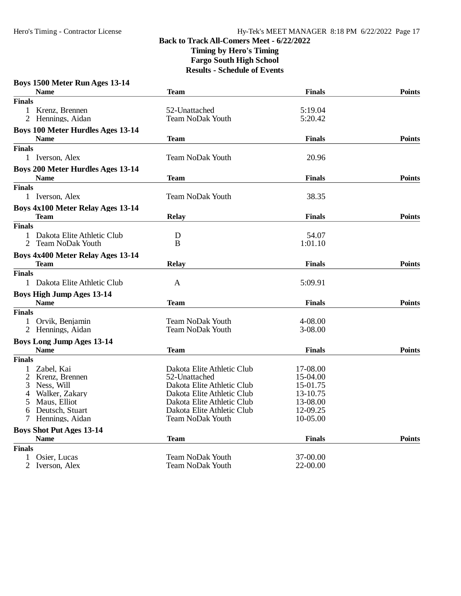| Boys 1500 Meter Run Ages 13-14            |                            |               |               |
|-------------------------------------------|----------------------------|---------------|---------------|
| <b>Name</b>                               | Team                       | <b>Finals</b> | <b>Points</b> |
| <b>Finals</b>                             |                            |               |               |
| $\mathbf{1}$<br>Krenz, Brennen            | 52-Unattached              | 5:19.04       |               |
| 2 Hennings, Aidan                         | Team NoDak Youth           | 5:20.42       |               |
| <b>Boys 100 Meter Hurdles Ages 13-14</b>  |                            |               |               |
| <b>Name</b>                               | Team                       | <b>Finals</b> | <b>Points</b> |
| <b>Finals</b>                             |                            |               |               |
|                                           |                            |               |               |
| 1 Iverson, Alex                           | <b>Team NoDak Youth</b>    | 20.96         |               |
| <b>Boys 200 Meter Hurdles Ages 13-14</b>  |                            |               |               |
| <b>Name</b>                               | <b>Team</b>                | <b>Finals</b> | <b>Points</b> |
| <b>Finals</b>                             |                            |               |               |
| 1 Iverson, Alex                           | <b>Team NoDak Youth</b>    | 38.35         |               |
| Boys 4x100 Meter Relay Ages 13-14         |                            |               |               |
| Team                                      | <b>Relay</b>               | <b>Finals</b> | <b>Points</b> |
|                                           |                            |               |               |
| <b>Finals</b>                             |                            |               |               |
| 1 Dakota Elite Athletic Club              | D                          | 54.07         |               |
| $\overline{2}$<br><b>Team NoDak Youth</b> | B                          | 1:01.10       |               |
| Boys 4x400 Meter Relay Ages 13-14         |                            |               |               |
| Team                                      | <b>Relay</b>               | <b>Finals</b> | <b>Points</b> |
| <b>Finals</b>                             |                            |               |               |
| 1 Dakota Elite Athletic Club              | A                          | 5:09.91       |               |
| <b>Boys High Jump Ages 13-14</b>          |                            |               |               |
| <b>Name</b>                               | <b>Team</b>                | <b>Finals</b> | <b>Points</b> |
| <b>Finals</b>                             |                            |               |               |
|                                           |                            |               |               |
| 1 Orvik, Benjamin                         | <b>Team NoDak Youth</b>    | 4-08.00       |               |
| Hennings, Aidan<br>2                      | Team NoDak Youth           | 3-08.00       |               |
| <b>Boys Long Jump Ages 13-14</b>          |                            |               |               |
| <b>Name</b>                               | <b>Team</b>                | <b>Finals</b> | <b>Points</b> |
| <b>Finals</b>                             |                            |               |               |
| Zabel, Kai<br>1                           | Dakota Elite Athletic Club | 17-08.00      |               |
| 2<br>Krenz, Brennen                       | 52-Unattached              | 15-04.00      |               |
| Ness, Will<br>3                           | Dakota Elite Athletic Club | 15-01.75      |               |
| Walker, Zakary<br>4                       | Dakota Elite Athletic Club | 13-10.75      |               |
| Maus, Elliot<br>5                         | Dakota Elite Athletic Club | 13-08.00      |               |
| Deutsch, Stuart<br>6                      | Dakota Elite Athletic Club | 12-09.25      |               |
| Hennings, Aidan<br>$\tau$                 | <b>Team NoDak Youth</b>    | 10-05.00      |               |
|                                           |                            |               |               |
| <b>Boys Shot Put Ages 13-14</b>           |                            |               |               |
| <b>Name</b>                               | <b>Team</b>                | <b>Finals</b> | <b>Points</b> |
| <b>Finals</b>                             |                            |               |               |
| Osier, Lucas                              | <b>Team NoDak Youth</b>    | 37-00.00      |               |
| $\overline{2}$<br>Iverson, Alex           | Team NoDak Youth           | 22-00.00      |               |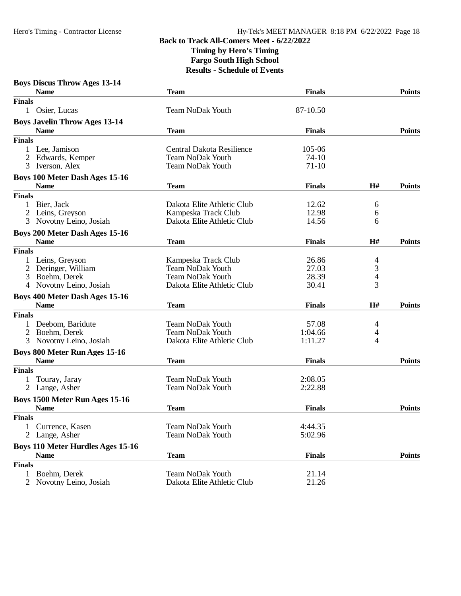| <b>Boys Discus Throw Ages 13-14</b>      |                            |               |                |               |
|------------------------------------------|----------------------------|---------------|----------------|---------------|
| <b>Name</b>                              | <b>Team</b>                | <b>Finals</b> |                | <b>Points</b> |
| <b>Finals</b>                            |                            |               |                |               |
| $\mathbf{1}$<br>Osier, Lucas             | <b>Team NoDak Youth</b>    | 87-10.50      |                |               |
| <b>Boys Javelin Throw Ages 13-14</b>     |                            |               |                |               |
| <b>Name</b>                              | Team                       | <b>Finals</b> |                | <b>Points</b> |
| <b>Finals</b>                            |                            |               |                |               |
| $\mathbf{1}$<br>Lee, Jamison             | Central Dakota Resilience  | 105-06        |                |               |
| 2<br>Edwards, Kemper                     | <b>Team NoDak Youth</b>    | 74-10         |                |               |
| 3<br>Iverson, Alex                       | <b>Team NoDak Youth</b>    | $71-10$       |                |               |
| Boys 100 Meter Dash Ages 15-16           |                            |               |                |               |
| <b>Name</b>                              | <b>Team</b>                | <b>Finals</b> | H#             | <b>Points</b> |
| <b>Finals</b>                            |                            |               |                |               |
| 1<br>Bier, Jack                          | Dakota Elite Athletic Club | 12.62         | 6              |               |
| 2<br>Leins, Greyson                      | Kampeska Track Club        | 12.98         | 6              |               |
| 3<br>Novotny Leino, Josiah               | Dakota Elite Athletic Club | 14.56         | 6              |               |
| <b>Boys 200 Meter Dash Ages 15-16</b>    |                            |               |                |               |
| <b>Name</b>                              | <b>Team</b>                | <b>Finals</b> | H#             | <b>Points</b> |
| <b>Finals</b>                            |                            |               |                |               |
| Leins, Greyson                           | Kampeska Track Club        | 26.86         | $\overline{4}$ |               |
| 2<br>Deringer, William                   | Team NoDak Youth           | 27.03         | 3              |               |
| 3<br>Boehm, Derek                        | <b>Team NoDak Youth</b>    | 28.39         | $\overline{4}$ |               |
| Novotny Leino, Josiah<br>4               | Dakota Elite Athletic Club | 30.41         | 3              |               |
| Boys 400 Meter Dash Ages 15-16           |                            |               |                |               |
| <b>Name</b>                              | <b>Team</b>                | <b>Finals</b> | H#             | <b>Points</b> |
| <b>Finals</b>                            |                            |               |                |               |
| Deebom, Baridute                         | <b>Team NoDak Youth</b>    | 57.08         | 4              |               |
| 2<br>Boehm, Derek                        | <b>Team NoDak Youth</b>    | 1:04.66       | 4              |               |
| Novotny Leino, Josiah<br>3               | Dakota Elite Athletic Club | 1:11.27       | 4              |               |
| <b>Boys 800 Meter Run Ages 15-16</b>     |                            |               |                |               |
| <b>Name</b>                              | <b>Team</b>                | <b>Finals</b> |                | <b>Points</b> |
| <b>Finals</b>                            |                            |               |                |               |
| 1<br>Touray, Jaray                       | <b>Team NoDak Youth</b>    | 2:08.05       |                |               |
| $\overline{2}$<br>Lange, Asher           | <b>Team NoDak Youth</b>    | 2:22.88       |                |               |
| Boys 1500 Meter Run Ages 15-16           |                            |               |                |               |
| <b>Name</b>                              | <b>Team</b>                | <b>Finals</b> |                | <b>Points</b> |
| <b>Finals</b>                            |                            |               |                |               |
| Currence, Kasen<br>1                     | <b>Team NoDak Youth</b>    | 4:44.35       |                |               |
| 2<br>Lange, Asher                        | <b>Team NoDak Youth</b>    | 5:02.96       |                |               |
| <b>Boys 110 Meter Hurdles Ages 15-16</b> |                            |               |                |               |
| <b>Name</b>                              | <b>Team</b>                | <b>Finals</b> |                | <b>Points</b> |
| <b>Finals</b>                            |                            |               |                |               |
| Boehm, Derek<br>$\mathbf{1}$             | <b>Team NoDak Youth</b>    | 21.14         |                |               |
| 2<br>Novotny Leino, Josiah               | Dakota Elite Athletic Club | 21.26         |                |               |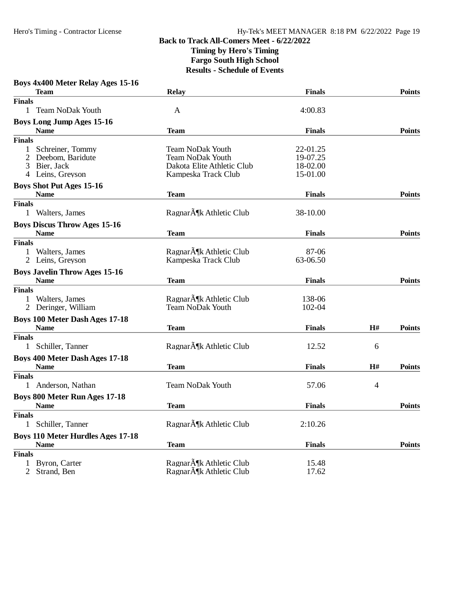| Boys 4x400 Meter Relay Ages 15-16                   |                                                      |               |    |               |
|-----------------------------------------------------|------------------------------------------------------|---------------|----|---------------|
| <b>Team</b>                                         | <b>Relay</b>                                         | <b>Finals</b> |    | <b>Points</b> |
| <b>Finals</b>                                       |                                                      |               |    |               |
| <b>Team NoDak Youth</b><br>$\mathbf{1}$             | A                                                    | 4:00.83       |    |               |
| <b>Boys Long Jump Ages 15-16</b>                    |                                                      |               |    |               |
| <b>Name</b>                                         | <b>Team</b>                                          | <b>Finals</b> |    | <b>Points</b> |
| <b>Finals</b>                                       |                                                      |               |    |               |
| 1<br>Schreiner, Tommy                               | <b>Team NoDak Youth</b>                              | 22-01.25      |    |               |
| Deebom, Baridute                                    | <b>Team NoDak Youth</b>                              | 19-07.25      |    |               |
| Bier, Jack<br>3                                     | Dakota Elite Athletic Club                           | 18-02.00      |    |               |
| Leins, Greyson<br>4                                 | Kampeska Track Club                                  | 15-01.00      |    |               |
| <b>Boys Shot Put Ages 15-16</b>                     |                                                      |               |    |               |
| <b>Name</b>                                         | <b>Team</b>                                          | <b>Finals</b> |    | <b>Points</b> |
| <b>Finals</b>                                       |                                                      |               |    |               |
| $\mathbf{1}$<br>Walters, James                      | Ragnar $\tilde{A}$ ¶k Athletic Club                  | 38-10.00      |    |               |
| <b>Boys Discus Throw Ages 15-16</b>                 |                                                      |               |    |               |
| <b>Name</b>                                         | <b>Team</b>                                          | <b>Finals</b> |    | <b>Points</b> |
| <b>Finals</b>                                       |                                                      |               |    |               |
| Walters, James                                      | Ragnar $\tilde{A}$ ¶k Athletic Club                  | 87-06         |    |               |
| 2 Leins, Greyson                                    | Kampeska Track Club                                  | 63-06.50      |    |               |
|                                                     |                                                      |               |    |               |
| <b>Boys Javelin Throw Ages 15-16</b><br><b>Name</b> | <b>Team</b>                                          | <b>Finals</b> |    | <b>Points</b> |
| <b>Finals</b>                                       |                                                      |               |    |               |
| Walters, James<br>1                                 | Ragnar $\tilde{A}$ <sup><i>K</i></sup> Athletic Club | 138-06        |    |               |
| 2 Deringer, William                                 | <b>Team NoDak Youth</b>                              | 102-04        |    |               |
|                                                     |                                                      |               |    |               |
| <b>Boys 100 Meter Dash Ages 17-18</b>               |                                                      |               |    |               |
| <b>Name</b>                                         | <b>Team</b>                                          | <b>Finals</b> | H# | <b>Points</b> |
| <b>Finals</b>                                       |                                                      |               |    |               |
| Schiller, Tanner<br>$\mathbf{1}$                    | Ragnar $\tilde{A}$ <sup><i>K</i></sup> Athletic Club | 12.52         | 6  |               |
| <b>Boys 400 Meter Dash Ages 17-18</b>               |                                                      |               |    |               |
| <b>Name</b>                                         | <b>Team</b>                                          | <b>Finals</b> | H# | <b>Points</b> |
| <b>Finals</b>                                       |                                                      |               |    |               |
| 1 Anderson, Nathan                                  | <b>Team NoDak Youth</b>                              | 57.06         | 4  |               |
| <b>Boys 800 Meter Run Ages 17-18</b>                |                                                      |               |    |               |
| <b>Name</b>                                         | <b>Team</b>                                          | <b>Finals</b> |    | <b>Points</b> |
| <b>Finals</b>                                       |                                                      |               |    |               |
| 1 Schiller, Tanner                                  | Ragnar $\tilde{A}$ ¶k Athletic Club                  | 2:10.26       |    |               |
| <b>Boys 110 Meter Hurdles Ages 17-18</b>            |                                                      |               |    |               |
| <b>Name</b>                                         | <b>Team</b>                                          | <b>Finals</b> |    | <b>Points</b> |
| <b>Finals</b>                                       |                                                      |               |    |               |
| Byron, Carter<br>1                                  | Ragnar $\tilde{A}$ ¶k Athletic Club                  | 15.48         |    |               |
| Strand, Ben<br>$\overline{2}$                       | Ragnar $\tilde{A}$ ¶k Athletic Club                  | 17.62         |    |               |